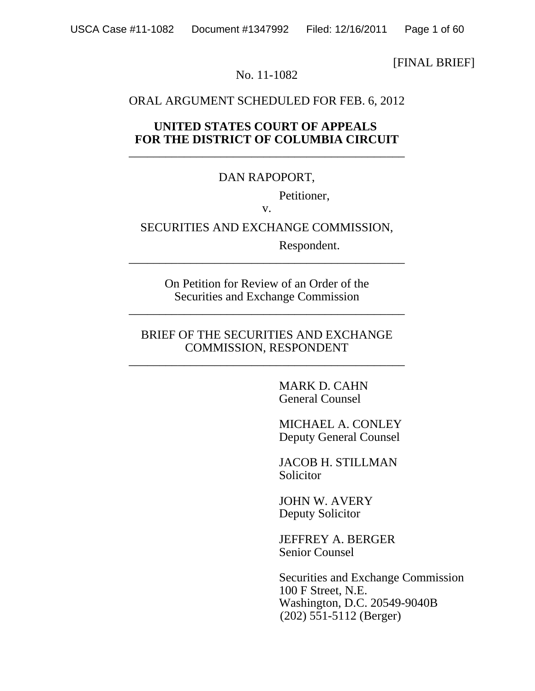[FINAL BRIEF]

#### No. 11-1082

#### ORAL ARGUMENT SCHEDULED FOR FEB. 6, 2012

#### **UNITED STATES COURT OF APPEALS FOR THE DISTRICT OF COLUMBIA CIRCUIT** \_\_\_\_\_\_\_\_\_\_\_\_\_\_\_\_\_\_\_\_\_\_\_\_\_\_\_\_\_\_\_\_\_\_\_\_\_\_\_\_\_\_\_\_\_

#### DAN RAPOPORT,

Petitioner,

v.

#### SECURITIES AND EXCHANGE COMMISSION,

\_\_\_\_\_\_\_\_\_\_\_\_\_\_\_\_\_\_\_\_\_\_\_\_\_\_\_\_\_\_\_\_\_\_\_\_\_\_\_\_\_\_\_\_\_

Respondent.

On Petition for Review of an Order of the Securities and Exchange Commission

\_\_\_\_\_\_\_\_\_\_\_\_\_\_\_\_\_\_\_\_\_\_\_\_\_\_\_\_\_\_\_\_\_\_\_\_\_\_\_\_\_\_\_\_\_

#### BRIEF OF THE SECURITIES AND EXCHANGE COMMISSION, RESPONDENT

\_\_\_\_\_\_\_\_\_\_\_\_\_\_\_\_\_\_\_\_\_\_\_\_\_\_\_\_\_\_\_\_\_\_\_\_\_\_\_\_\_\_\_\_\_

MARK D. CAHN General Counsel

MICHAEL A. CONLEY Deputy General Counsel

JACOB H. STILLMAN Solicitor

JOHN W. AVERY Deputy Solicitor

JEFFREY A. BERGER Senior Counsel

 Securities and Exchange Commission 100 F Street, N.E. Washington, D.C. 20549-9040B (202) 551-5112 (Berger)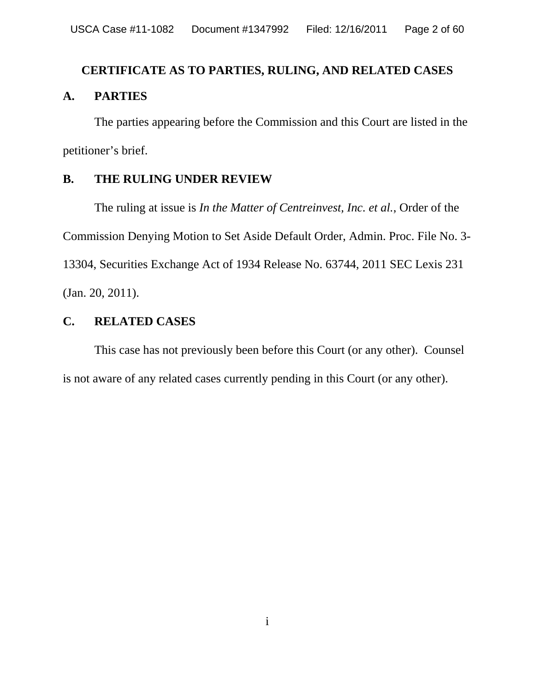## **CERTIFICATE AS TO PARTIES, RULING, AND RELATED CASES A. PARTIES**

The parties appearing before the Commission and this Court are listed in the petitioner's brief.

## **B. THE RULING UNDER REVIEW**

The ruling at issue is *In the Matter of Centreinvest, Inc. et al.*, Order of the Commission Denying Motion to Set Aside Default Order, Admin. Proc. File No. 3- 13304, Securities Exchange Act of 1934 Release No. 63744, 2011 SEC Lexis 231 (Jan. 20, 2011).

#### **C. RELATED CASES**

This case has not previously been before this Court (or any other). Counsel is not aware of any related cases currently pending in this Court (or any other).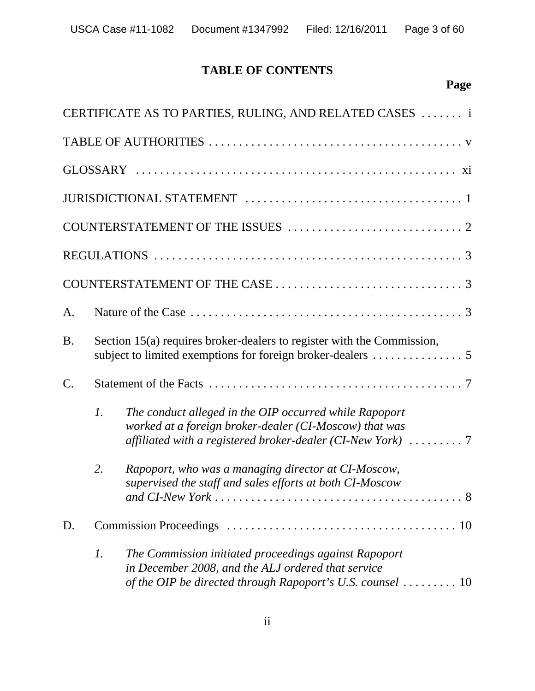## **TABLE OF CONTENTS**

|                 |                                                                        | CERTIFICATE AS TO PARTIES, RULING, AND RELATED CASES  i                                                                                                                                      |  |  |  |  |  |  |  |
|-----------------|------------------------------------------------------------------------|----------------------------------------------------------------------------------------------------------------------------------------------------------------------------------------------|--|--|--|--|--|--|--|
|                 |                                                                        |                                                                                                                                                                                              |  |  |  |  |  |  |  |
|                 |                                                                        |                                                                                                                                                                                              |  |  |  |  |  |  |  |
|                 |                                                                        |                                                                                                                                                                                              |  |  |  |  |  |  |  |
|                 |                                                                        |                                                                                                                                                                                              |  |  |  |  |  |  |  |
|                 |                                                                        |                                                                                                                                                                                              |  |  |  |  |  |  |  |
|                 |                                                                        |                                                                                                                                                                                              |  |  |  |  |  |  |  |
| A.              |                                                                        |                                                                                                                                                                                              |  |  |  |  |  |  |  |
| <b>B.</b>       | Section 15(a) requires broker-dealers to register with the Commission, |                                                                                                                                                                                              |  |  |  |  |  |  |  |
| $\mathcal{C}$ . |                                                                        |                                                                                                                                                                                              |  |  |  |  |  |  |  |
|                 | $\mathcal{I}$ .                                                        | The conduct alleged in the OIP occurred while Rapoport<br>worked at a foreign broker-dealer (CI-Moscow) that was<br>affiliated with a registered broker-dealer (CI-New York)  7              |  |  |  |  |  |  |  |
|                 | 2.                                                                     | Rapoport, who was a managing director at CI-Moscow,<br>supervised the staff and sales efforts at both CI-Moscow                                                                              |  |  |  |  |  |  |  |
| D.              |                                                                        |                                                                                                                                                                                              |  |  |  |  |  |  |  |
|                 | $\mathfrak{1}.$                                                        | The Commission initiated proceedings against Rapoport<br>in December 2008, and the ALJ ordered that service<br>of the OIP be directed through Rapoport's U.S. counsel $\dots \dots \dots 10$ |  |  |  |  |  |  |  |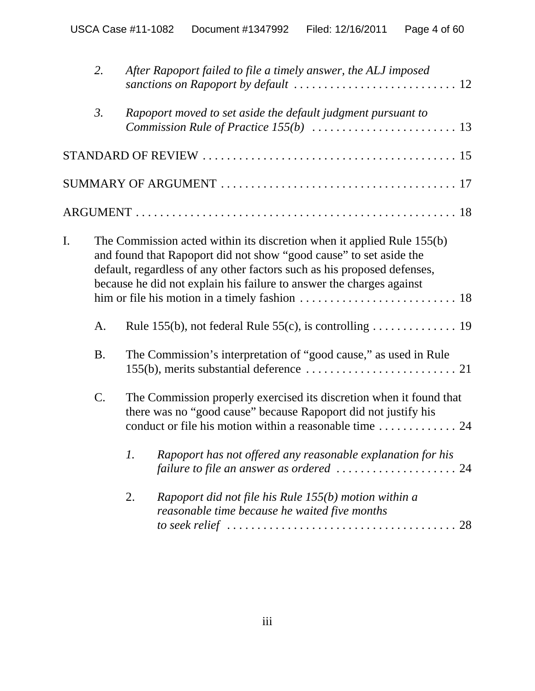|    | 2.               | After Rapoport failed to file a timely answer, the ALJ imposed                                                                                                                                                                                                                                  |
|----|------------------|-------------------------------------------------------------------------------------------------------------------------------------------------------------------------------------------------------------------------------------------------------------------------------------------------|
|    | $\mathfrak{Z}$ . | Rapoport moved to set aside the default judgment pursuant to<br><i>Commission Rule of Practice 155(b)</i> $\ldots \ldots \ldots \ldots \ldots \ldots \ldots 13$                                                                                                                                 |
|    |                  |                                                                                                                                                                                                                                                                                                 |
|    |                  |                                                                                                                                                                                                                                                                                                 |
|    |                  |                                                                                                                                                                                                                                                                                                 |
| I. |                  | The Commission acted within its discretion when it applied Rule 155(b)<br>and found that Rapoport did not show "good cause" to set aside the<br>default, regardless of any other factors such as his proposed defenses,<br>because he did not explain his failure to answer the charges against |
|    | A.               |                                                                                                                                                                                                                                                                                                 |
|    | <b>B.</b>        | The Commission's interpretation of "good cause," as used in Rule                                                                                                                                                                                                                                |
|    | C.               | The Commission properly exercised its discretion when it found that<br>there was no "good cause" because Rapoport did not justify his<br>conduct or file his motion within a reasonable time  24                                                                                                |
|    |                  | 1. Rapoport has not offered any reasonable explanation for his<br>failure to file an answer as ordered $\ldots \ldots \ldots \ldots \ldots \ldots 24$                                                                                                                                           |
|    |                  | Rapoport did not file his Rule 155(b) motion within a<br>2.<br>reasonable time because he waited five months<br>to seek relief $\ldots \ldots \ldots \ldots \ldots \ldots \ldots \ldots \ldots \ldots \ldots \ldots 28$                                                                         |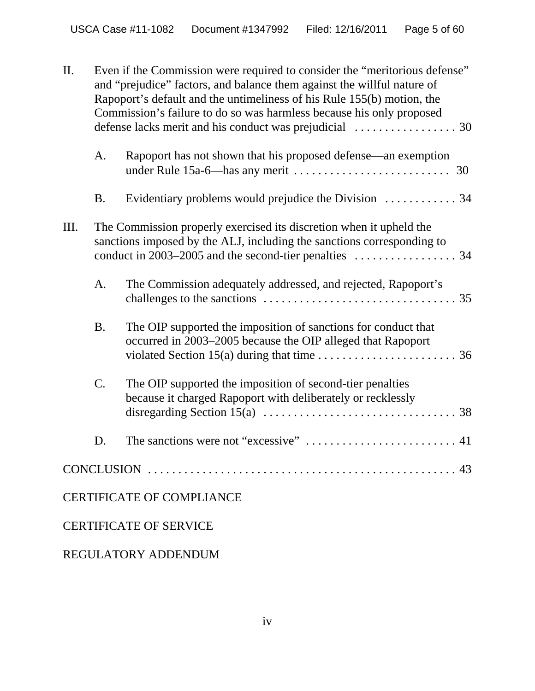| II. | Even if the Commission were required to consider the "meritorious defense"<br>and "prejudice" factors, and balance them against the willful nature of<br>Rapoport's default and the untimeliness of his Rule 155(b) motion, the<br>Commission's failure to do so was harmless because his only proposed |                                                                                                                                                                                                                                        |  |  |  |  |  |  |
|-----|---------------------------------------------------------------------------------------------------------------------------------------------------------------------------------------------------------------------------------------------------------------------------------------------------------|----------------------------------------------------------------------------------------------------------------------------------------------------------------------------------------------------------------------------------------|--|--|--|--|--|--|
|     | A.                                                                                                                                                                                                                                                                                                      | Rapoport has not shown that his proposed defense—an exemption                                                                                                                                                                          |  |  |  |  |  |  |
|     | <b>B.</b>                                                                                                                                                                                                                                                                                               |                                                                                                                                                                                                                                        |  |  |  |  |  |  |
| Ш.  |                                                                                                                                                                                                                                                                                                         | The Commission properly exercised its discretion when it upheld the<br>sanctions imposed by the ALJ, including the sanctions corresponding to<br>conduct in 2003–2005 and the second-tier penalties $\dots \dots \dots \dots \dots$ 34 |  |  |  |  |  |  |
|     | A.                                                                                                                                                                                                                                                                                                      | The Commission adequately addressed, and rejected, Rapoport's                                                                                                                                                                          |  |  |  |  |  |  |
|     | <b>B.</b>                                                                                                                                                                                                                                                                                               | The OIP supported the imposition of sanctions for conduct that<br>occurred in 2003-2005 because the OIP alleged that Rapoport<br>violated Section 15(a) during that time $\dots \dots \dots \dots \dots \dots \dots \dots$ 36          |  |  |  |  |  |  |
|     | C.                                                                                                                                                                                                                                                                                                      | The OIP supported the imposition of second-tier penalties<br>because it charged Rapoport with deliberately or recklessly                                                                                                               |  |  |  |  |  |  |
|     | D.                                                                                                                                                                                                                                                                                                      |                                                                                                                                                                                                                                        |  |  |  |  |  |  |
|     |                                                                                                                                                                                                                                                                                                         |                                                                                                                                                                                                                                        |  |  |  |  |  |  |
|     |                                                                                                                                                                                                                                                                                                         | <b>CERTIFICATE OF COMPLIANCE</b>                                                                                                                                                                                                       |  |  |  |  |  |  |
|     |                                                                                                                                                                                                                                                                                                         | <b>CERTIFICATE OF SERVICE</b>                                                                                                                                                                                                          |  |  |  |  |  |  |

## REGULATORY ADDENDUM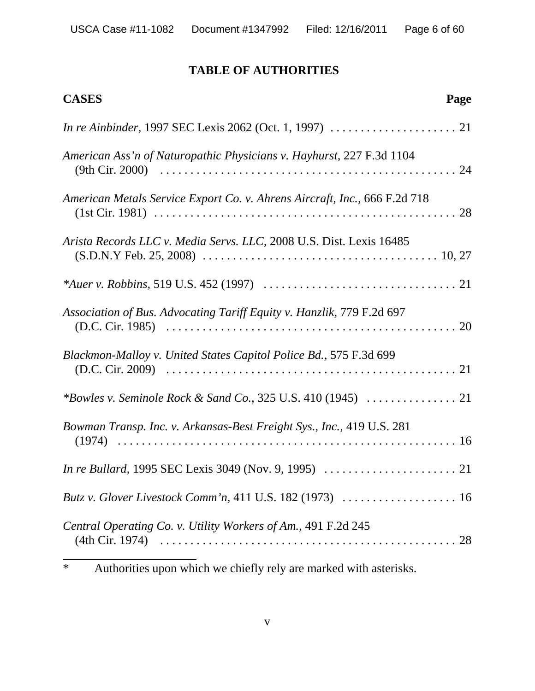## **TABLE OF AUTHORITIES**

| <b>CASES</b>                                                                                                   | Page |
|----------------------------------------------------------------------------------------------------------------|------|
|                                                                                                                |      |
| American Ass'n of Naturopathic Physicians v. Hayhurst, 227 F.3d 1104                                           |      |
| American Metals Service Export Co. v. Ahrens Aircraft, Inc., 666 F.2d 718                                      |      |
| Arista Records LLC v. Media Servs. LLC, 2008 U.S. Dist. Lexis 16485                                            |      |
|                                                                                                                |      |
| Association of Bus. Advocating Tariff Equity v. Hanzlik, 779 F.2d 697                                          |      |
| Blackmon-Malloy v. United States Capitol Police Bd., 575 F.3d 699                                              |      |
|                                                                                                                |      |
| Bowman Transp. Inc. v. Arkansas-Best Freight Sys., Inc., 419 U.S. 281                                          |      |
| <i>In re Bullard,</i> 1995 SEC Lexis 3049 (Nov. 9, 1995) $\ldots \ldots \ldots \ldots \ldots \ldots \ldots$ 21 |      |
| Butz v. Glover Livestock Comm'n, 411 U.S. 182 (1973)  16                                                       |      |
| Central Operating Co. v. Utility Workers of Am., 491 F.2d 245                                                  |      |

<sup>\*</sup> Authorities upon which we chiefly rely are marked with asterisks.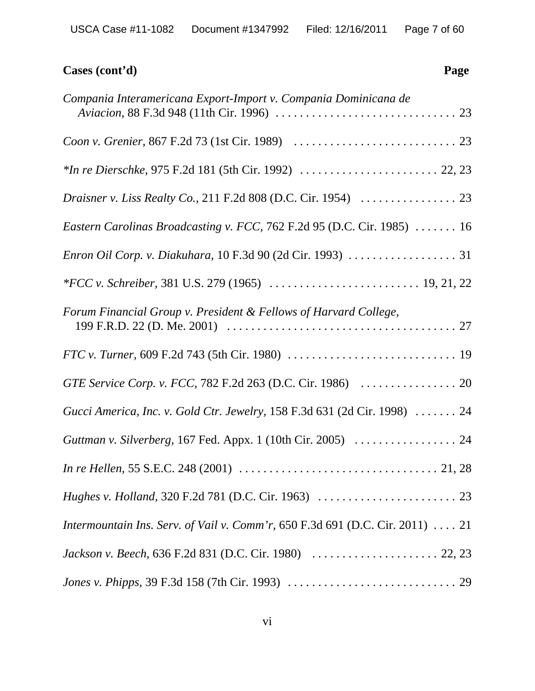| Cases (cont'd)<br>Page                                                                                                                 |
|----------------------------------------------------------------------------------------------------------------------------------------|
| Compania Interamericana Export-Import v. Compania Dominicana de                                                                        |
|                                                                                                                                        |
| *In re Dierschke, 975 F.2d 181 (5th Cir. 1992) $\ldots \ldots \ldots \ldots \ldots \ldots \ldots \ldots$ 22, 23                        |
|                                                                                                                                        |
| Eastern Carolinas Broadcasting v. FCC, 762 F.2d 95 (D.C. Cir. 1985)  16                                                                |
|                                                                                                                                        |
|                                                                                                                                        |
| Forum Financial Group v. President & Fellows of Harvard College,                                                                       |
|                                                                                                                                        |
|                                                                                                                                        |
| Gucci America, Inc. v. Gold Ctr. Jewelry, 158 F.3d 631 (2d Cir. 1998)  24                                                              |
| Guttman v. Silverberg, 167 Fed. Appx. 1 (10th Cir. 2005)  24                                                                           |
| <i>In re Hellen,</i> 55 S.E.C. 248 (2001) $\ldots \ldots \ldots \ldots \ldots \ldots \ldots \ldots \ldots \ldots \ldots \ldots 21, 28$ |
|                                                                                                                                        |
| Intermountain Ins. Serv. of Vail v. Comm'r, $650$ F.3d $691$ (D.C. Cir. 2011)  21                                                      |
|                                                                                                                                        |
|                                                                                                                                        |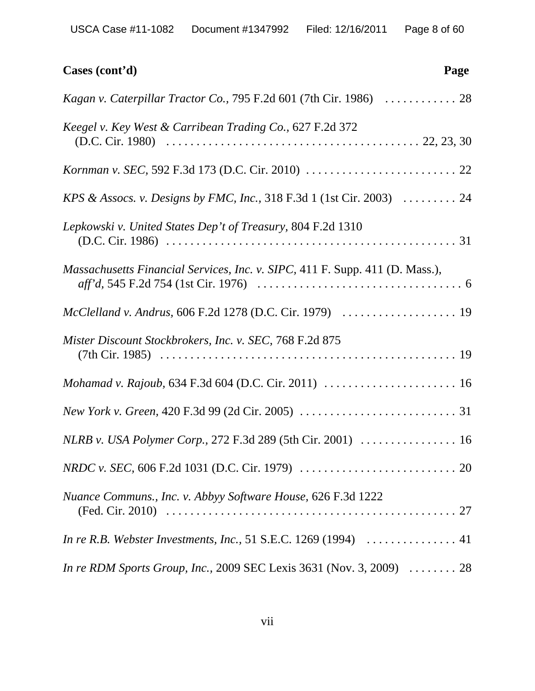| Cases (cont'd)<br>Page                                                                   |
|------------------------------------------------------------------------------------------|
| Kagan v. Caterpillar Tractor Co., 795 F.2d 601 (7th Cir. 1986)  28                       |
| Keegel v. Key West & Carribean Trading Co., 627 F.2d 372                                 |
|                                                                                          |
| KPS & Assocs. v. Designs by FMC, Inc., 318 F.3d 1 (1st Cir. 2003)  24                    |
| Lepkowski v. United States Dep't of Treasury, 804 F.2d 1310                              |
| <i>Massachusetts Financial Services, Inc. v. SIPC, 411 F. Supp. 411 (D. Mass.),</i>      |
| McClelland v. Andrus, 606 F.2d 1278 (D.C. Cir. 1979)  19                                 |
| Mister Discount Stockbrokers, Inc. v. SEC, 768 F.2d 875                                  |
| Mohamad v. Rajoub, 634 F.3d 604 (D.C. Cir. 2011)  16                                     |
|                                                                                          |
| NLRB v. USA Polymer Corp., 272 F.3d 289 (5th Cir. 2001)  16                              |
|                                                                                          |
| <i>Nuance Communs., Inc. v. Abbyy Software House, 626 F.3d 1222</i>                      |
|                                                                                          |
| <i>In re RDM Sports Group, Inc., 2009 SEC Lexis 3631 (Nov. 3, 2009)</i> $\dots \dots 28$ |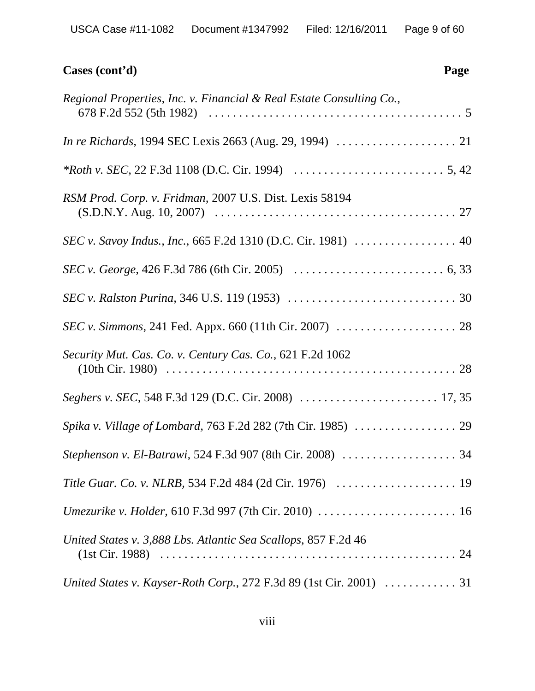| Cases (cont'd)<br>Page                                                                                       |
|--------------------------------------------------------------------------------------------------------------|
| Regional Properties, Inc. v. Financial & Real Estate Consulting Co.,                                         |
|                                                                                                              |
| <i>*Roth v. SEC</i> , 22 F.3d 1108 (D.C. Cir. 1994) $\ldots \ldots \ldots \ldots \ldots \ldots \ldots 5, 42$ |
| RSM Prod. Corp. v. Fridman, 2007 U.S. Dist. Lexis 58194                                                      |
| SEC v. Savoy Indus., Inc., 665 F.2d 1310 (D.C. Cir. 1981)  40                                                |
|                                                                                                              |
|                                                                                                              |
|                                                                                                              |
| Security Mut. Cas. Co. v. Century Cas. Co., 621 F.2d 1062                                                    |
|                                                                                                              |
|                                                                                                              |
|                                                                                                              |
|                                                                                                              |
|                                                                                                              |
| United States v. 3,888 Lbs. Atlantic Sea Scallops, 857 F.2d 46                                               |
| United States v. Kayser-Roth Corp., 272 F.3d 89 (1st Cir. 2001) $\ldots \ldots \ldots$ 31                    |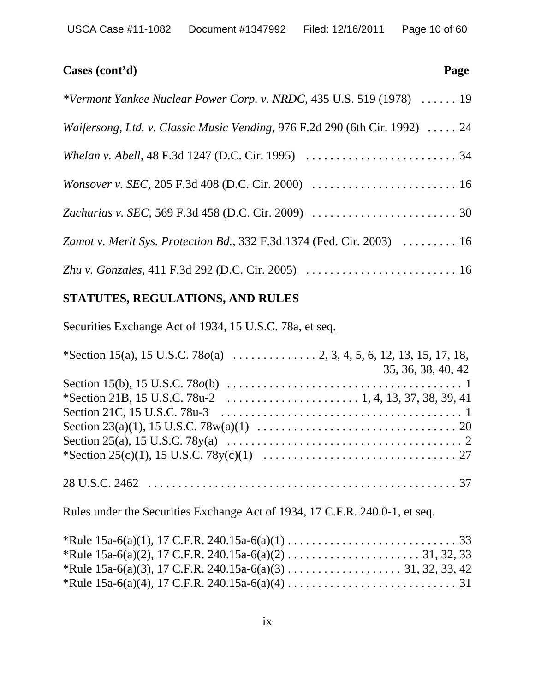## **Cases (cont'd) Page** *\*Vermont Yankee Nuclear Power Corp. v. NRDC,* 435 U.S. 519 (1978) . . . . . . 19 *Waifersong, Ltd. v. Classic Music Vending,* 976 F.2d 290 (6th Cir. 1992) . . . . . 24 *Whelan v. Abell,* 48 F.3d 1247 (D.C. Cir. 1995) . . . . . . . . . . . . . . . . . . . . . . . . . 34 *Wonsover v. SEC,* 205 F.3d 408 (D.C. Cir. 2000) . . . . . . . . . . . . . . . . . . . . . . . . 16

*Zacharias v. SEC,* 569 F.3d 458 (D.C. Cir. 2009) . . . . . . . . . . . . . . . . . . . . . . . . 30

*Zamot v. Merit Sys. Protection Bd.,* 332 F.3d 1374 (Fed. Cir. 2003) . . . . . . . . . 16

*Zhu v. Gonzales,* 411 F.3d 292 (D.C. Cir. 2005) . . . . . . . . . . . . . . . . . . . . . . . . . 16

#### **STATUTES, REGULATIONS, AND RULES**

Securities Exchange Act of 1934, 15 U.S.C. 78a, et seq.

| 35, 36, 38, 40, 42 |
|--------------------|
|                    |
|                    |
|                    |
|                    |
|                    |
|                    |
|                    |

#### Rules under the Securities Exchange Act of 1934, 17 C.F.R. 240.0-1, et seq.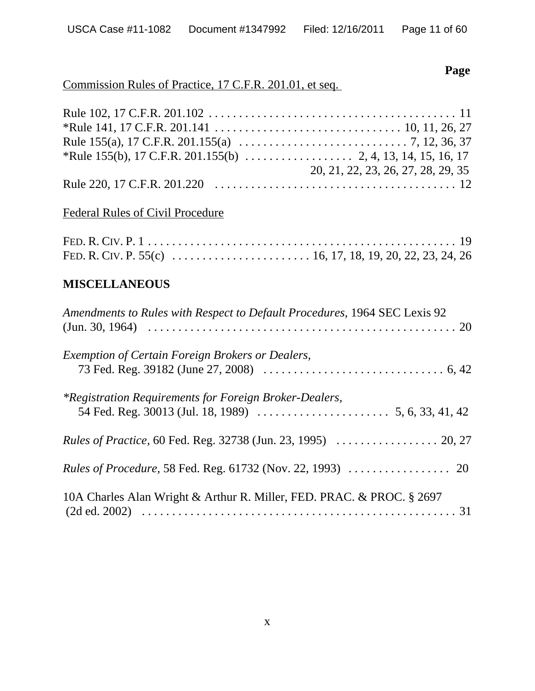#### **Page**

## Commission Rules of Practice, 17 C.F.R. 201.01, et seq.

| 20, 21, 22, 23, 26, 27, 28, 29, 35 |
|------------------------------------|
|                                    |

## Federal Rules of Civil Procedure

| FED. R. CIV. P. 55(c) $\ldots$ $\ldots$ $\ldots$ $\ldots$ $\ldots$ $\ldots$ $\ldots$ $\ldots$ 16, 17, 18, 19, 20, 22, 23, 24, 26 |  |  |  |  |  |  |  |  |  |  |  |
|----------------------------------------------------------------------------------------------------------------------------------|--|--|--|--|--|--|--|--|--|--|--|

## **MISCELLANEOUS**

| Amendments to Rules with Respect to Default Procedures, 1964 SEC Lexis 92 |
|---------------------------------------------------------------------------|
| Exemption of Certain Foreign Brokers or Dealers,                          |
| <i>*Registration Requirements for Foreign Broker-Dealers,</i>             |
| <i>Rules of Practice, 60 Fed. Reg. 32738 (Jun. 23, 1995) </i> 20, 27      |
|                                                                           |
| 10A Charles Alan Wright & Arthur R. Miller, FED. PRAC. & PROC. § 2697     |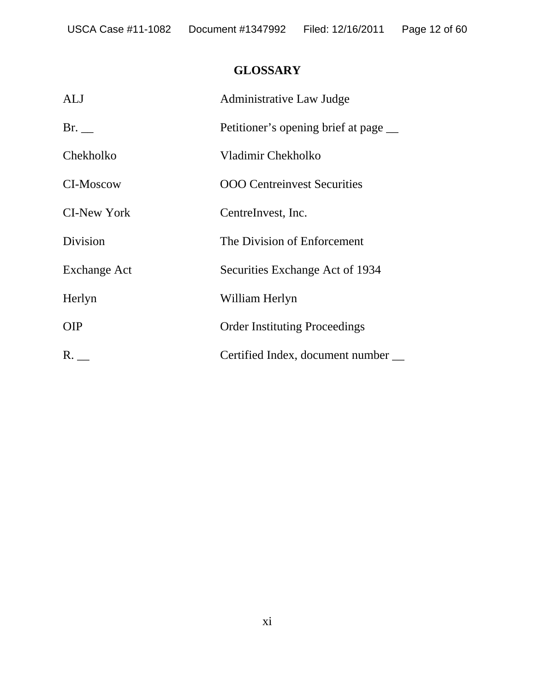## **GLOSSARY**

| <b>ALJ</b>          | Administrative Law Judge              |
|---------------------|---------------------------------------|
| Br.                 | Petitioner's opening brief at page __ |
| Chekholko           | Vladimir Chekholko                    |
| <b>CI-Moscow</b>    | <b>OOO</b> Centreinvest Securities    |
| <b>CI-New York</b>  | CentreInvest, Inc.                    |
| Division            | The Division of Enforcement           |
| <b>Exchange Act</b> | Securities Exchange Act of 1934       |
| Herlyn              | William Herlyn                        |
| <b>OIP</b>          | <b>Order Instituting Proceedings</b>  |
| $R_{-}$             | Certified Index, document number      |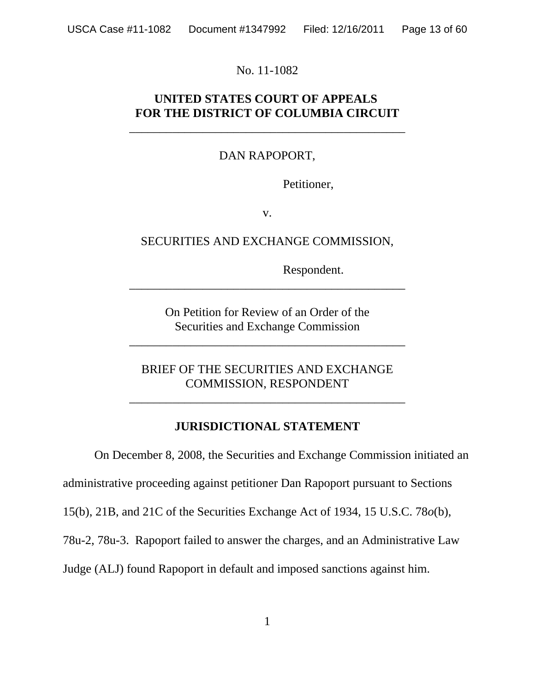No. 11-1082

## **UNITED STATES COURT OF APPEALS FOR THE DISTRICT OF COLUMBIA CIRCUIT**

\_\_\_\_\_\_\_\_\_\_\_\_\_\_\_\_\_\_\_\_\_\_\_\_\_\_\_\_\_\_\_\_\_\_\_\_\_\_\_\_\_\_\_\_\_

#### DAN RAPOPORT,

Petitioner,

v.

SECURITIES AND EXCHANGE COMMISSION,

Respondent.

On Petition for Review of an Order of the Securities and Exchange Commission

\_\_\_\_\_\_\_\_\_\_\_\_\_\_\_\_\_\_\_\_\_\_\_\_\_\_\_\_\_\_\_\_\_\_\_\_\_\_\_\_\_\_\_\_\_

\_\_\_\_\_\_\_\_\_\_\_\_\_\_\_\_\_\_\_\_\_\_\_\_\_\_\_\_\_\_\_\_\_\_\_\_\_\_\_\_\_\_\_\_\_

BRIEF OF THE SECURITIES AND EXCHANGE COMMISSION, RESPONDENT

\_\_\_\_\_\_\_\_\_\_\_\_\_\_\_\_\_\_\_\_\_\_\_\_\_\_\_\_\_\_\_\_\_\_\_\_\_\_\_\_\_\_\_\_\_

#### **JURISDICTIONAL STATEMENT**

On December 8, 2008, the Securities and Exchange Commission initiated an administrative proceeding against petitioner Dan Rapoport pursuant to Sections 15(b), 21B, and 21C of the Securities Exchange Act of 1934, 15 U.S.C. 78*o*(b), 78u-2, 78u-3. Rapoport failed to answer the charges, and an Administrative Law

Judge (ALJ) found Rapoport in default and imposed sanctions against him.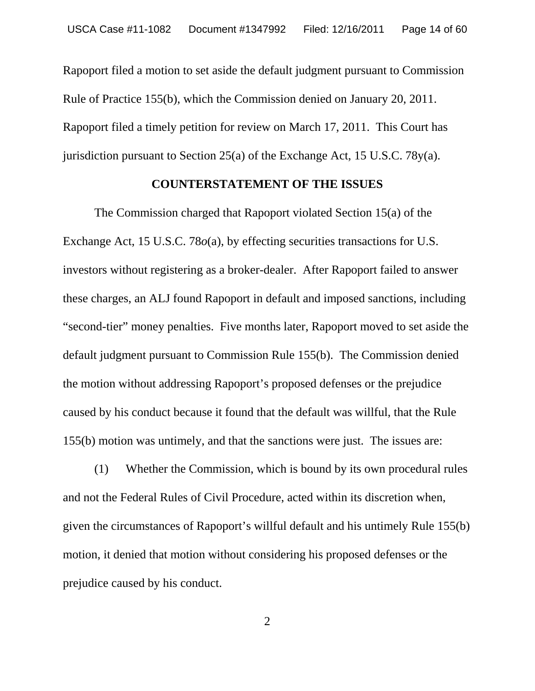Rapoport filed a motion to set aside the default judgment pursuant to Commission Rule of Practice 155(b), which the Commission denied on January 20, 2011. Rapoport filed a timely petition for review on March 17, 2011. This Court has jurisdiction pursuant to Section 25(a) of the Exchange Act, 15 U.S.C. 78y(a).

#### **COUNTERSTATEMENT OF THE ISSUES**

The Commission charged that Rapoport violated Section 15(a) of the Exchange Act, 15 U.S.C. 78*o*(a), by effecting securities transactions for U.S. investors without registering as a broker-dealer. After Rapoport failed to answer these charges, an ALJ found Rapoport in default and imposed sanctions, including "second-tier" money penalties. Five months later, Rapoport moved to set aside the default judgment pursuant to Commission Rule 155(b). The Commission denied the motion without addressing Rapoport's proposed defenses or the prejudice caused by his conduct because it found that the default was willful, that the Rule 155(b) motion was untimely, and that the sanctions were just. The issues are:

(1) Whether the Commission, which is bound by its own procedural rules and not the Federal Rules of Civil Procedure, acted within its discretion when, given the circumstances of Rapoport's willful default and his untimely Rule 155(b) motion, it denied that motion without considering his proposed defenses or the prejudice caused by his conduct.

2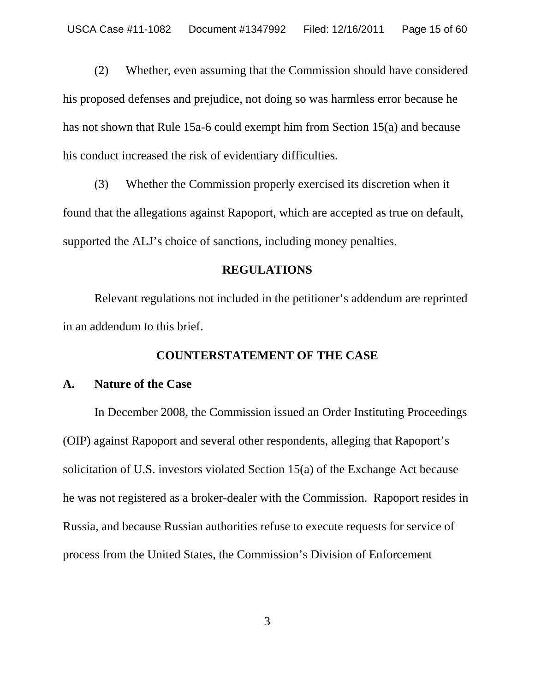(2) Whether, even assuming that the Commission should have considered his proposed defenses and prejudice, not doing so was harmless error because he has not shown that Rule 15a-6 could exempt him from Section 15(a) and because his conduct increased the risk of evidentiary difficulties.

(3) Whether the Commission properly exercised its discretion when it found that the allegations against Rapoport, which are accepted as true on default, supported the ALJ's choice of sanctions, including money penalties.

#### **REGULATIONS**

Relevant regulations not included in the petitioner's addendum are reprinted in an addendum to this brief.

#### **COUNTERSTATEMENT OF THE CASE**

#### **A. Nature of the Case**

In December 2008, the Commission issued an Order Instituting Proceedings (OIP) against Rapoport and several other respondents, alleging that Rapoport's solicitation of U.S. investors violated Section 15(a) of the Exchange Act because he was not registered as a broker-dealer with the Commission. Rapoport resides in Russia, and because Russian authorities refuse to execute requests for service of process from the United States, the Commission's Division of Enforcement

3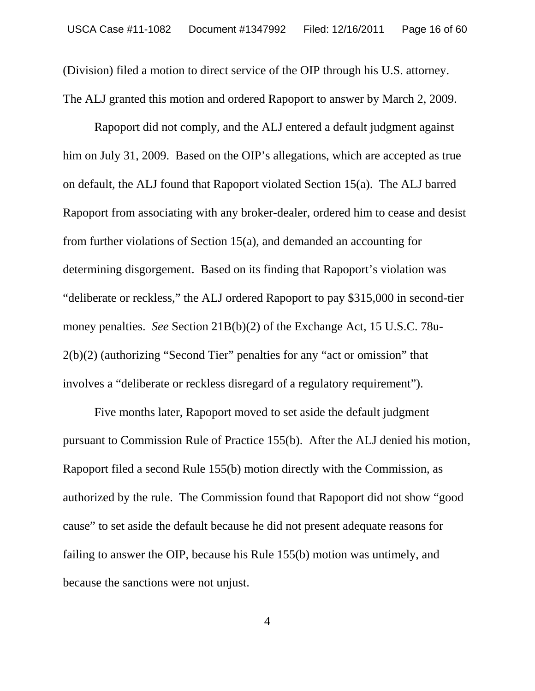(Division) filed a motion to direct service of the OIP through his U.S. attorney. The ALJ granted this motion and ordered Rapoport to answer by March 2, 2009.

 Rapoport did not comply, and the ALJ entered a default judgment against him on July 31, 2009. Based on the OIP's allegations, which are accepted as true on default, the ALJ found that Rapoport violated Section 15(a). The ALJ barred Rapoport from associating with any broker-dealer, ordered him to cease and desist from further violations of Section 15(a), and demanded an accounting for determining disgorgement. Based on its finding that Rapoport's violation was "deliberate or reckless," the ALJ ordered Rapoport to pay \$315,000 in second-tier money penalties. *See* Section 21B(b)(2) of the Exchange Act, 15 U.S.C. 78u-2(b)(2) (authorizing "Second Tier" penalties for any "act or omission" that involves a "deliberate or reckless disregard of a regulatory requirement").

Five months later, Rapoport moved to set aside the default judgment pursuant to Commission Rule of Practice 155(b). After the ALJ denied his motion, Rapoport filed a second Rule 155(b) motion directly with the Commission, as authorized by the rule. The Commission found that Rapoport did not show "good cause" to set aside the default because he did not present adequate reasons for failing to answer the OIP, because his Rule 155(b) motion was untimely, and because the sanctions were not unjust.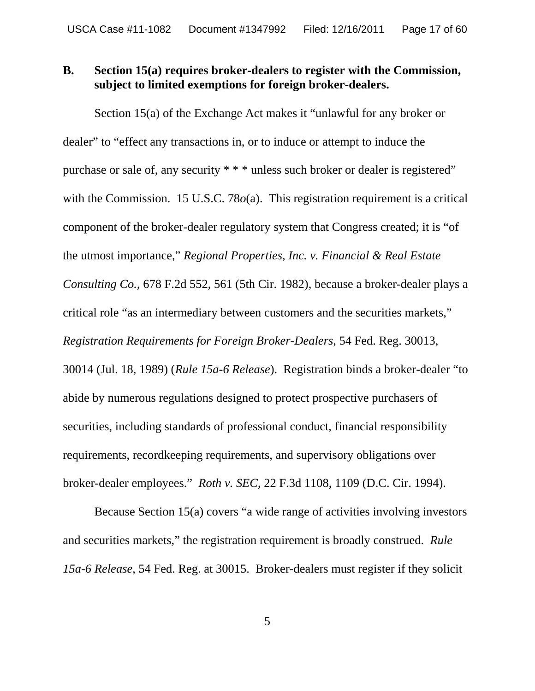#### **B. Section 15(a) requires broker-dealers to register with the Commission, subject to limited exemptions for foreign broker-dealers.**

Section 15(a) of the Exchange Act makes it "unlawful for any broker or dealer" to "effect any transactions in, or to induce or attempt to induce the purchase or sale of, any security  $* * *$  unless such broker or dealer is registered" with the Commission. 15 U.S.C. 78 $o(a)$ . This registration requirement is a critical component of the broker-dealer regulatory system that Congress created; it is "of the utmost importance," *Regional Properties, Inc. v. Financial & Real Estate Consulting Co.*, 678 F.2d 552, 561 (5th Cir. 1982), because a broker-dealer plays a critical role "as an intermediary between customers and the securities markets," *Registration Requirements for Foreign Broker-Dealers*, 54 Fed. Reg. 30013, 30014 (Jul. 18, 1989) (*Rule 15a-6 Release*). Registration binds a broker-dealer "to abide by numerous regulations designed to protect prospective purchasers of securities, including standards of professional conduct, financial responsibility requirements, recordkeeping requirements, and supervisory obligations over broker-dealer employees." *Roth v. SEC*, 22 F.3d 1108, 1109 (D.C. Cir. 1994).

Because Section 15(a) covers "a wide range of activities involving investors and securities markets," the registration requirement is broadly construed. *Rule 15a-6 Release*, 54 Fed. Reg. at 30015. Broker-dealers must register if they solicit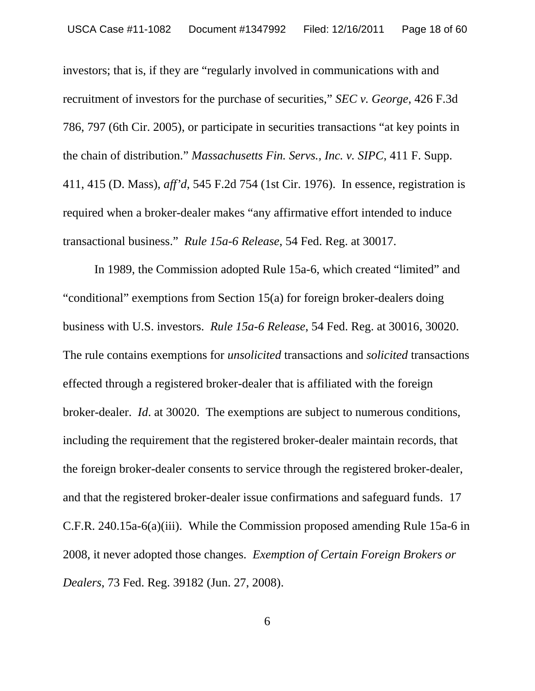investors; that is, if they are "regularly involved in communications with and recruitment of investors for the purchase of securities," *SEC v. George*, 426 F.3d 786, 797 (6th Cir. 2005), or participate in securities transactions "at key points in the chain of distribution." *Massachusetts Fin. Servs., Inc. v. SIPC*, 411 F. Supp. 411, 415 (D. Mass), *aff'd*, 545 F.2d 754 (1st Cir. 1976). In essence, registration is required when a broker-dealer makes "any affirmative effort intended to induce transactional business." *Rule 15a-6 Release*, 54 Fed. Reg. at 30017.

In 1989, the Commission adopted Rule 15a-6, which created "limited" and "conditional" exemptions from Section 15(a) for foreign broker-dealers doing business with U.S. investors. *Rule 15a-6 Release*, 54 Fed. Reg. at 30016, 30020. The rule contains exemptions for *unsolicited* transactions and *solicited* transactions effected through a registered broker-dealer that is affiliated with the foreign broker-dealer. *Id*. at 30020. The exemptions are subject to numerous conditions, including the requirement that the registered broker-dealer maintain records, that the foreign broker-dealer consents to service through the registered broker-dealer, and that the registered broker-dealer issue confirmations and safeguard funds. 17 C.F.R. 240.15a-6(a)(iii). While the Commission proposed amending Rule 15a-6 in 2008, it never adopted those changes. *Exemption of Certain Foreign Brokers or Dealers*, 73 Fed. Reg. 39182 (Jun. 27, 2008).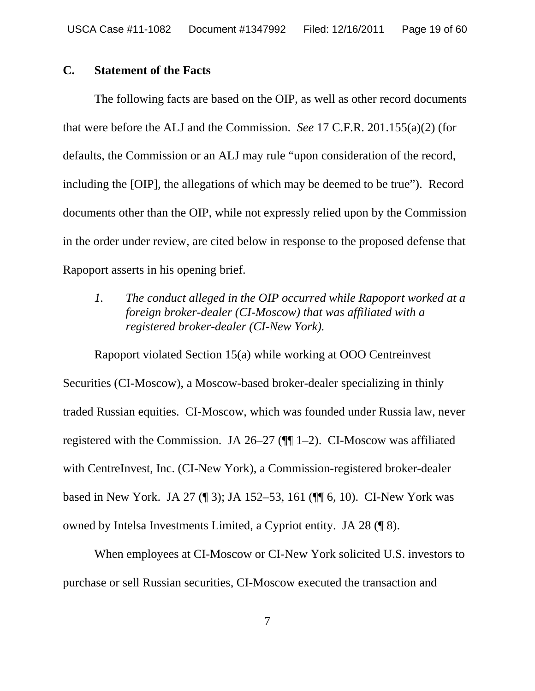#### **C. Statement of the Facts**

The following facts are based on the OIP, as well as other record documents that were before the ALJ and the Commission. *See* 17 C.F.R. 201.155(a)(2) (for defaults, the Commission or an ALJ may rule "upon consideration of the record, including the [OIP], the allegations of which may be deemed to be true"). Record documents other than the OIP, while not expressly relied upon by the Commission in the order under review, are cited below in response to the proposed defense that Rapoport asserts in his opening brief.

*1. The conduct alleged in the OIP occurred while Rapoport worked at a foreign broker-dealer (CI-Moscow) that was affiliated with a registered broker-dealer (CI-New York).*

Rapoport violated Section 15(a) while working at OOO Centreinvest Securities (CI-Moscow), a Moscow-based broker-dealer specializing in thinly traded Russian equities. CI-Moscow, which was founded under Russia law, never registered with the Commission. JA 26–27 (¶¶ 1–2). CI-Moscow was affiliated with CentreInvest, Inc. (CI-New York), a Commission-registered broker-dealer based in New York. JA 27 (¶ 3); JA 152–53, 161 (¶¶ 6, 10). CI-New York was owned by Intelsa Investments Limited, a Cypriot entity. JA 28 (¶ 8).

When employees at CI-Moscow or CI-New York solicited U.S. investors to purchase or sell Russian securities, CI-Moscow executed the transaction and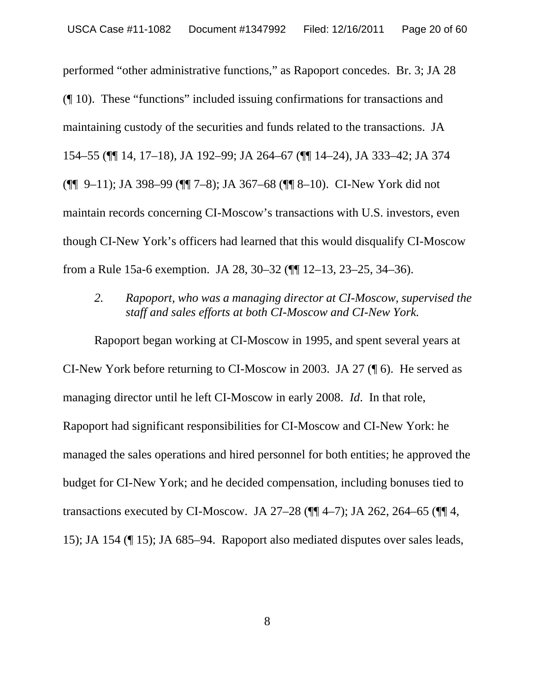performed "other administrative functions," as Rapoport concedes. Br. 3; JA 28 (¶ 10). These "functions" included issuing confirmations for transactions and maintaining custody of the securities and funds related to the transactions. JA 154–55 (¶¶ 14, 17–18), JA 192–99; JA 264–67 (¶¶ 14–24), JA 333–42; JA 374 (¶¶ 9–11); JA 398–99 (¶¶ 7–8); JA 367–68 (¶¶ 8–10). CI-New York did not maintain records concerning CI-Moscow's transactions with U.S. investors, even though CI-New York's officers had learned that this would disqualify CI-Moscow from a Rule 15a-6 exemption. JA 28, 30–32 (¶¶ 12–13, 23–25, 34–36).

*2. Rapoport, who was a managing director at CI-Moscow, supervised the staff and sales efforts at both CI-Moscow and CI-New York.*

Rapoport began working at CI-Moscow in 1995, and spent several years at CI-New York before returning to CI-Moscow in 2003. JA 27 (¶ 6). He served as managing director until he left CI-Moscow in early 2008. *Id*. In that role, Rapoport had significant responsibilities for CI-Moscow and CI-New York: he managed the sales operations and hired personnel for both entities; he approved the budget for CI-New York; and he decided compensation, including bonuses tied to transactions executed by CI-Moscow. JA 27–28 ( $\P$  $\P$ 4–7); JA 262, 264–65 ( $\P$  $\P$  $4$ , 15); JA 154 (¶ 15); JA 685–94. Rapoport also mediated disputes over sales leads,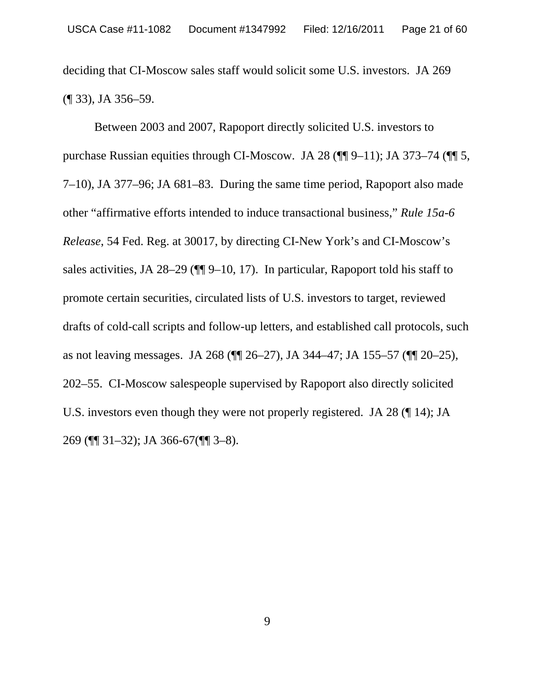deciding that CI-Moscow sales staff would solicit some U.S. investors. JA 269 (¶ 33), JA 356–59.

Between 2003 and 2007, Rapoport directly solicited U.S. investors to purchase Russian equities through CI-Moscow. JA 28 (¶¶ 9–11); JA 373–74 (¶¶ 5, 7–10), JA 377–96; JA 681–83. During the same time period, Rapoport also made other "affirmative efforts intended to induce transactional business," *Rule 15a-6 Release*, 54 Fed. Reg. at 30017, by directing CI-New York's and CI-Moscow's sales activities, JA 28–29 (¶¶ 9–10, 17). In particular, Rapoport told his staff to promote certain securities, circulated lists of U.S. investors to target, reviewed drafts of cold-call scripts and follow-up letters, and established call protocols, such as not leaving messages. JA 268 (¶¶ 26–27), JA 344–47; JA 155–57 (¶¶ 20–25), 202–55. CI-Moscow salespeople supervised by Rapoport also directly solicited U.S. investors even though they were not properly registered. JA 28 (¶ 14); JA 269 (¶¶ 31–32); JA 366-67(¶¶ 3–8).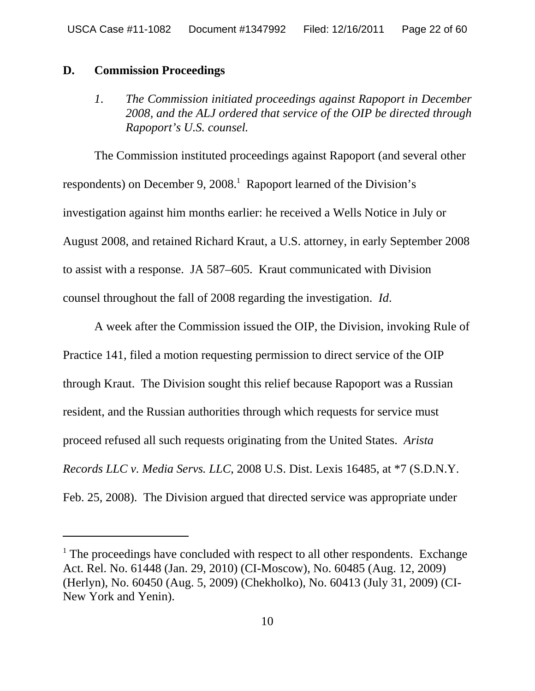#### **D. Commission Proceedings**

*1*. *The Commission initiated proceedings against Rapoport in December 2008, and the ALJ ordered that service of the OIP be directed through Rapoport's U.S. counsel.*

The Commission instituted proceedings against Rapoport (and several other respondents) on December 9, 2008.<sup>1</sup> Rapoport learned of the Division's investigation against him months earlier: he received a Wells Notice in July or August 2008, and retained Richard Kraut, a U.S. attorney, in early September 2008 to assist with a response. JA 587–605. Kraut communicated with Division counsel throughout the fall of 2008 regarding the investigation. *Id*.

A week after the Commission issued the OIP, the Division, invoking Rule of Practice 141, filed a motion requesting permission to direct service of the OIP through Kraut. The Division sought this relief because Rapoport was a Russian resident, and the Russian authorities through which requests for service must proceed refused all such requests originating from the United States. *Arista Records LLC v. Media Servs. LLC*, 2008 U.S. Dist. Lexis 16485, at \*7 (S.D.N.Y. Feb. 25, 2008). The Division argued that directed service was appropriate under

<sup>&</sup>lt;sup>1</sup> The proceedings have concluded with respect to all other respondents. Exchange Act. Rel. No. 61448 (Jan. 29, 2010) (CI-Moscow), No. 60485 (Aug. 12, 2009) (Herlyn), No. 60450 (Aug. 5, 2009) (Chekholko), No. 60413 (July 31, 2009) (CI-New York and Yenin).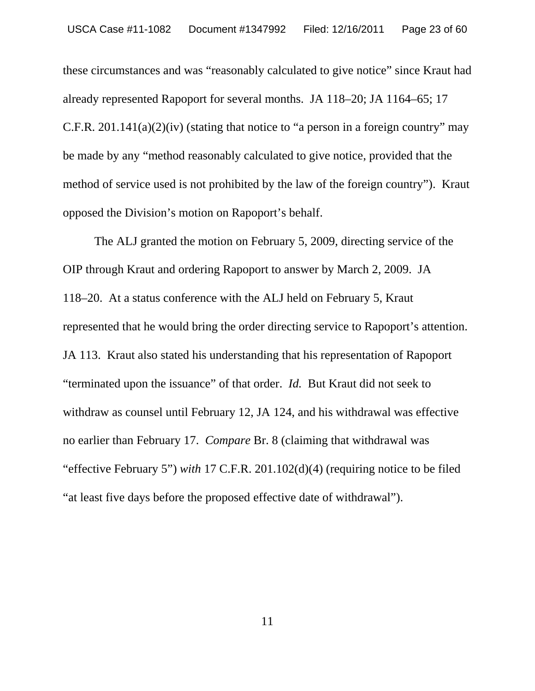these circumstances and was "reasonably calculated to give notice" since Kraut had already represented Rapoport for several months. JA 118–20; JA 1164–65; 17 C.F.R. 201.141(a)(2)(iv) (stating that notice to "a person in a foreign country" may be made by any "method reasonably calculated to give notice, provided that the method of service used is not prohibited by the law of the foreign country"). Kraut opposed the Division's motion on Rapoport's behalf.

The ALJ granted the motion on February 5, 2009, directing service of the OIP through Kraut and ordering Rapoport to answer by March 2, 2009. JA 118–20. At a status conference with the ALJ held on February 5, Kraut represented that he would bring the order directing service to Rapoport's attention. JA 113. Kraut also stated his understanding that his representation of Rapoport "terminated upon the issuance" of that order. *Id.* But Kraut did not seek to withdraw as counsel until February 12, JA 124, and his withdrawal was effective no earlier than February 17. *Compare* Br. 8 (claiming that withdrawal was "effective February 5") *with* 17 C.F.R. 201.102(d)(4) (requiring notice to be filed "at least five days before the proposed effective date of withdrawal").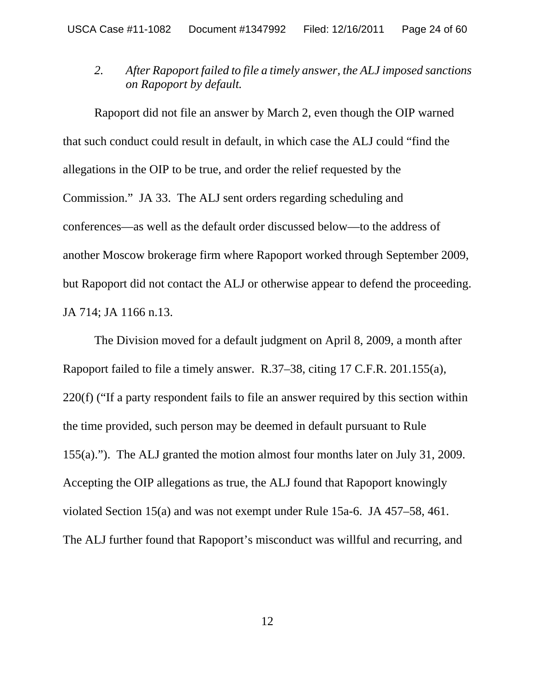*2. After Rapoport failed to file a timely answer, the ALJ imposed sanctions on Rapoport by default.*

Rapoport did not file an answer by March 2, even though the OIP warned that such conduct could result in default, in which case the ALJ could "find the allegations in the OIP to be true, and order the relief requested by the Commission." JA 33. The ALJ sent orders regarding scheduling and conferences—as well as the default order discussed below—to the address of another Moscow brokerage firm where Rapoport worked through September 2009, but Rapoport did not contact the ALJ or otherwise appear to defend the proceeding. JA 714; JA 1166 n.13.

The Division moved for a default judgment on April 8, 2009, a month after Rapoport failed to file a timely answer. R.37–38, citing 17 C.F.R. 201.155(a), 220(f) ("If a party respondent fails to file an answer required by this section within the time provided, such person may be deemed in default pursuant to Rule 155(a)."). The ALJ granted the motion almost four months later on July 31, 2009. Accepting the OIP allegations as true, the ALJ found that Rapoport knowingly violated Section 15(a) and was not exempt under Rule 15a-6. JA 457–58, 461. The ALJ further found that Rapoport's misconduct was willful and recurring, and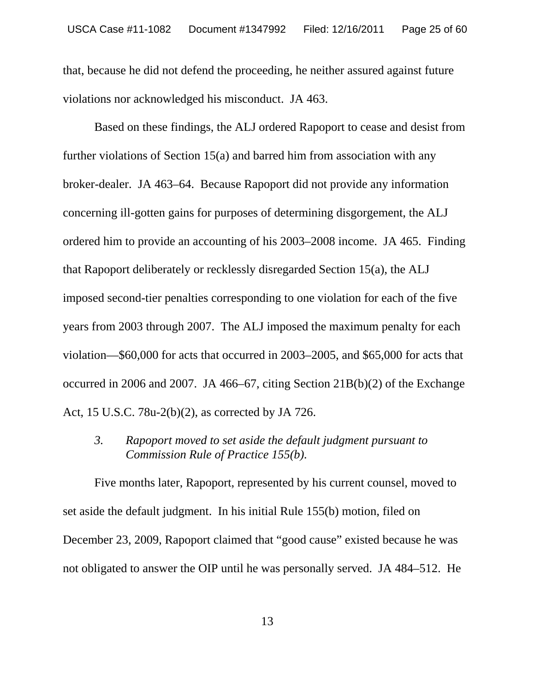that, because he did not defend the proceeding, he neither assured against future violations nor acknowledged his misconduct. JA 463.

Based on these findings, the ALJ ordered Rapoport to cease and desist from further violations of Section 15(a) and barred him from association with any broker-dealer. JA 463–64. Because Rapoport did not provide any information concerning ill-gotten gains for purposes of determining disgorgement, the ALJ ordered him to provide an accounting of his 2003–2008 income. JA 465. Finding that Rapoport deliberately or recklessly disregarded Section 15(a), the ALJ imposed second-tier penalties corresponding to one violation for each of the five years from 2003 through 2007. The ALJ imposed the maximum penalty for each violation—\$60,000 for acts that occurred in 2003–2005, and \$65,000 for acts that occurred in 2006 and 2007. JA 466–67, citing Section 21B(b)(2) of the Exchange Act, 15 U.S.C. 78u-2(b)(2), as corrected by JA 726.

*3. Rapoport moved to set aside the default judgment pursuant to Commission Rule of Practice 155(b).* 

Five months later, Rapoport, represented by his current counsel, moved to set aside the default judgment. In his initial Rule 155(b) motion, filed on December 23, 2009, Rapoport claimed that "good cause" existed because he was not obligated to answer the OIP until he was personally served. JA 484–512. He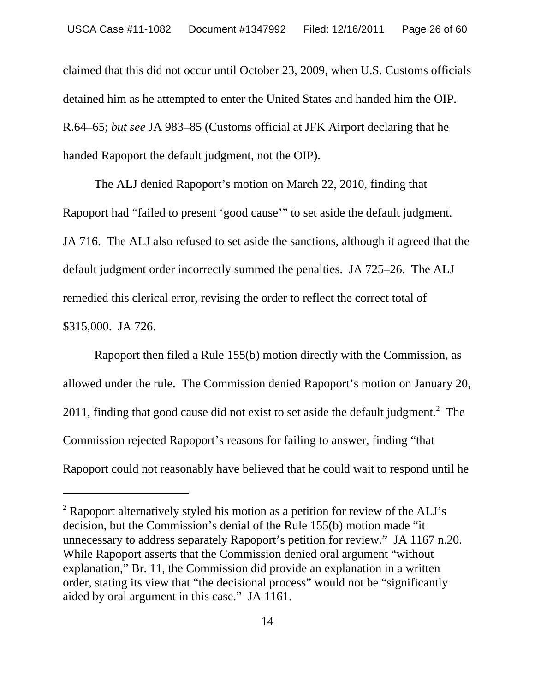claimed that this did not occur until October 23, 2009, when U.S. Customs officials detained him as he attempted to enter the United States and handed him the OIP. R.64–65; *but see* JA 983–85 (Customs official at JFK Airport declaring that he handed Rapoport the default judgment, not the OIP).

The ALJ denied Rapoport's motion on March 22, 2010, finding that Rapoport had "failed to present 'good cause'" to set aside the default judgment. JA 716. The ALJ also refused to set aside the sanctions, although it agreed that the default judgment order incorrectly summed the penalties. JA 725–26. The ALJ remedied this clerical error, revising the order to reflect the correct total of \$315,000. JA 726.

Rapoport then filed a Rule 155(b) motion directly with the Commission, as allowed under the rule. The Commission denied Rapoport's motion on January 20, 2011, finding that good cause did not exist to set aside the default judgment. $2$  The Commission rejected Rapoport's reasons for failing to answer, finding "that Rapoport could not reasonably have believed that he could wait to respond until he

 $2^2$  Rapoport alternatively styled his motion as a petition for review of the ALJ's decision, but the Commission's denial of the Rule 155(b) motion made "it unnecessary to address separately Rapoport's petition for review." JA 1167 n.20. While Rapoport asserts that the Commission denied oral argument "without explanation," Br. 11, the Commission did provide an explanation in a written order, stating its view that "the decisional process" would not be "significantly aided by oral argument in this case." JA 1161.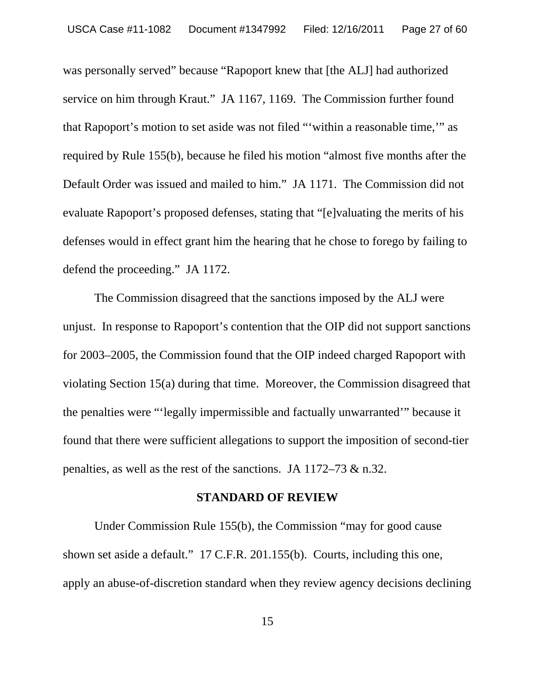was personally served" because "Rapoport knew that [the ALJ] had authorized service on him through Kraut." JA 1167, 1169. The Commission further found that Rapoport's motion to set aside was not filed "'within a reasonable time,'" as required by Rule 155(b), because he filed his motion "almost five months after the Default Order was issued and mailed to him." JA 1171. The Commission did not evaluate Rapoport's proposed defenses, stating that "[e]valuating the merits of his defenses would in effect grant him the hearing that he chose to forego by failing to defend the proceeding." JA 1172.

The Commission disagreed that the sanctions imposed by the ALJ were unjust. In response to Rapoport's contention that the OIP did not support sanctions for 2003–2005, the Commission found that the OIP indeed charged Rapoport with violating Section 15(a) during that time. Moreover, the Commission disagreed that the penalties were "'legally impermissible and factually unwarranted'" because it found that there were sufficient allegations to support the imposition of second-tier penalties, as well as the rest of the sanctions. JA 1172–73 & n.32.

#### **STANDARD OF REVIEW**

Under Commission Rule 155(b), the Commission "may for good cause shown set aside a default." 17 C.F.R. 201.155(b). Courts, including this one, apply an abuse-of-discretion standard when they review agency decisions declining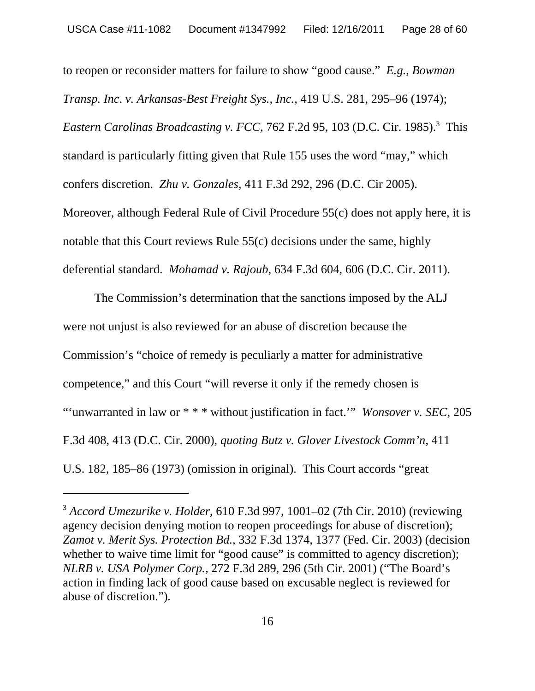to reopen or reconsider matters for failure to show "good cause." *E.g.*, *Bowman Transp. Inc*. *v. Arkansas-Best Freight Sys., Inc.*, 419 U.S. 281, 295–96 (1974); Eastern Carolinas Broadcasting v. FCC, 762 F.2d 95, 103 (D.C. Cir. 1985).<sup>3</sup> This standard is particularly fitting given that Rule 155 uses the word "may," which confers discretion. *Zhu v. Gonzales*, 411 F.3d 292, 296 (D.C. Cir 2005). Moreover, although Federal Rule of Civil Procedure 55(c) does not apply here, it is notable that this Court reviews Rule 55(c) decisions under the same, highly deferential standard. *Mohamad v. Rajoub*, 634 F.3d 604, 606 (D.C. Cir. 2011).

The Commission's determination that the sanctions imposed by the ALJ were not unjust is also reviewed for an abuse of discretion because the Commission's "choice of remedy is peculiarly a matter for administrative competence," and this Court "will reverse it only if the remedy chosen is "'unwarranted in law or \* \* \* without justification in fact.'" *Wonsover v. SEC*, 205 F.3d 408, 413 (D.C. Cir. 2000), *quoting Butz v. Glover Livestock Comm'n*, 411 U.S. 182, 185–86 (1973) (omission in original). This Court accords "great

<sup>3</sup>  *Accord Umezurike v. Holder*, 610 F.3d 997, 1001–02 (7th Cir. 2010) (reviewing agency decision denying motion to reopen proceedings for abuse of discretion); *Zamot v. Merit Sys. Protection Bd.*, 332 F.3d 1374, 1377 (Fed. Cir. 2003) (decision whether to waive time limit for "good cause" is committed to agency discretion); *NLRB v. USA Polymer Corp.*, 272 F.3d 289, 296 (5th Cir. 2001) ("The Board's action in finding lack of good cause based on excusable neglect is reviewed for abuse of discretion.")*.*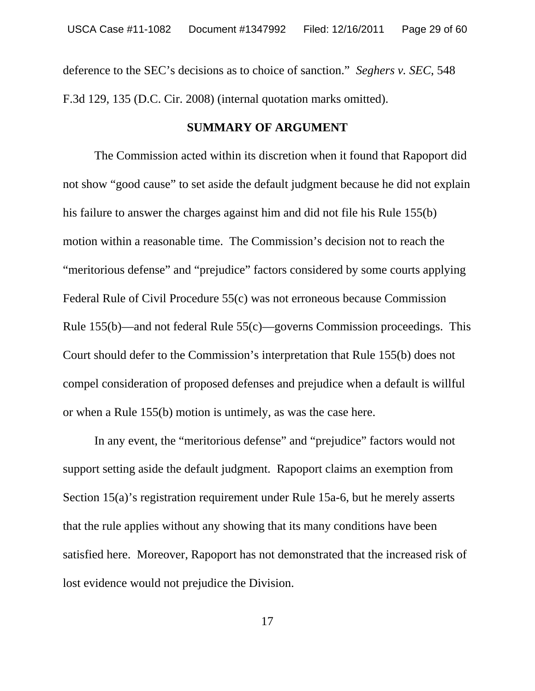deference to the SEC's decisions as to choice of sanction." *Seghers v. SEC*, 548 F.3d 129, 135 (D.C. Cir. 2008) (internal quotation marks omitted).

#### **SUMMARY OF ARGUMENT**

The Commission acted within its discretion when it found that Rapoport did not show "good cause" to set aside the default judgment because he did not explain his failure to answer the charges against him and did not file his Rule 155(b) motion within a reasonable time. The Commission's decision not to reach the "meritorious defense" and "prejudice" factors considered by some courts applying Federal Rule of Civil Procedure 55(c) was not erroneous because Commission Rule 155(b)—and not federal Rule 55(c)—governs Commission proceedings. This Court should defer to the Commission's interpretation that Rule 155(b) does not compel consideration of proposed defenses and prejudice when a default is willful or when a Rule 155(b) motion is untimely, as was the case here.

In any event, the "meritorious defense" and "prejudice" factors would not support setting aside the default judgment. Rapoport claims an exemption from Section 15(a)'s registration requirement under Rule 15a-6, but he merely asserts that the rule applies without any showing that its many conditions have been satisfied here. Moreover, Rapoport has not demonstrated that the increased risk of lost evidence would not prejudice the Division.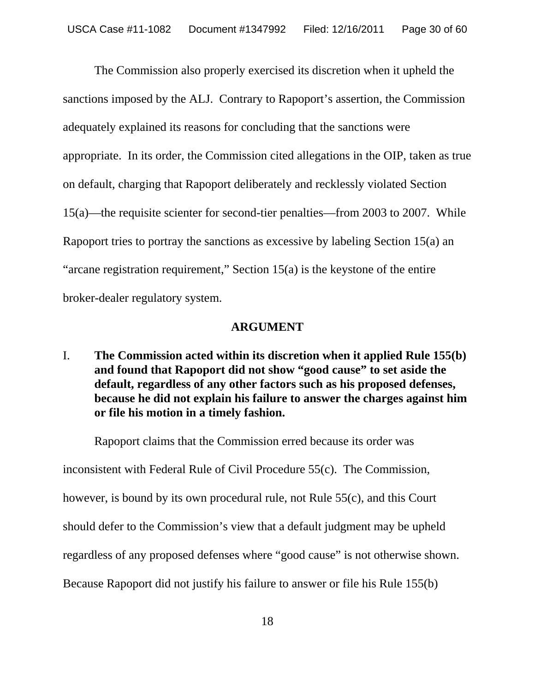The Commission also properly exercised its discretion when it upheld the sanctions imposed by the ALJ. Contrary to Rapoport's assertion, the Commission adequately explained its reasons for concluding that the sanctions were appropriate. In its order, the Commission cited allegations in the OIP, taken as true on default, charging that Rapoport deliberately and recklessly violated Section 15(a)—the requisite scienter for second-tier penalties—from 2003 to 2007. While Rapoport tries to portray the sanctions as excessive by labeling Section 15(a) an "arcane registration requirement," Section  $15(a)$  is the keystone of the entire broker-dealer regulatory system.

#### **ARGUMENT**

I. **The Commission acted within its discretion when it applied Rule 155(b) and found that Rapoport did not show "good cause" to set aside the default, regardless of any other factors such as his proposed defenses, because he did not explain his failure to answer the charges against him or file his motion in a timely fashion.** 

Rapoport claims that the Commission erred because its order was inconsistent with Federal Rule of Civil Procedure 55(c). The Commission, however, is bound by its own procedural rule, not Rule 55(c), and this Court should defer to the Commission's view that a default judgment may be upheld regardless of any proposed defenses where "good cause" is not otherwise shown. Because Rapoport did not justify his failure to answer or file his Rule 155(b)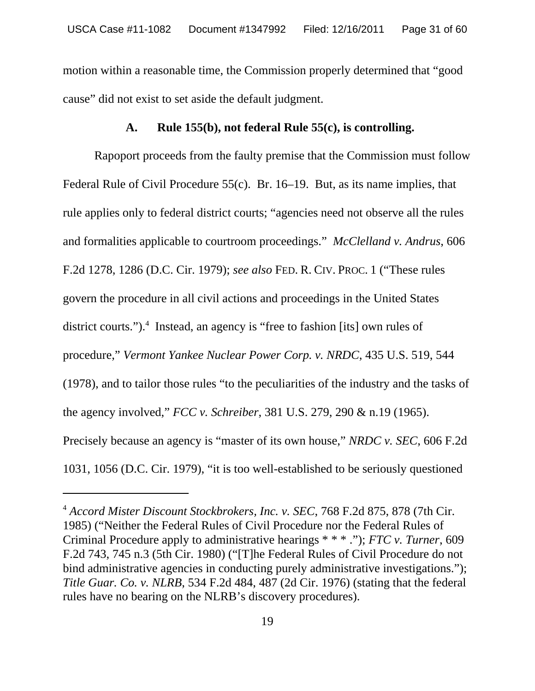motion within a reasonable time, the Commission properly determined that "good cause" did not exist to set aside the default judgment.

#### **A. Rule 155(b), not federal Rule 55(c), is controlling.**

Rapoport proceeds from the faulty premise that the Commission must follow Federal Rule of Civil Procedure 55(c). Br. 16–19. But, as its name implies, that rule applies only to federal district courts; "agencies need not observe all the rules and formalities applicable to courtroom proceedings." *McClelland v. Andrus*, 606 F.2d 1278, 1286 (D.C. Cir. 1979); *see also* FED. R. CIV. PROC. 1 ("These rules govern the procedure in all civil actions and proceedings in the United States district courts.").<sup>4</sup> Instead, an agency is "free to fashion [its] own rules of procedure," *Vermont Yankee Nuclear Power Corp. v. NRDC*, 435 U.S. 519, 544 (1978), and to tailor those rules "to the peculiarities of the industry and the tasks of the agency involved," *FCC v. Schreiber*, 381 U.S. 279, 290 & n.19 (1965). Precisely because an agency is "master of its own house," *NRDC v. SEC*, 606 F.2d 1031, 1056 (D.C. Cir. 1979), "it is too well-established to be seriously questioned

<sup>4</sup> *Accord Mister Discount Stockbrokers, Inc. v. SEC*, 768 F.2d 875, 878 (7th Cir. 1985) ("Neither the Federal Rules of Civil Procedure nor the Federal Rules of Criminal Procedure apply to administrative hearings \* \* \* ."); *FTC v. Turner*, 609 F.2d 743, 745 n.3 (5th Cir. 1980) ("[T]he Federal Rules of Civil Procedure do not bind administrative agencies in conducting purely administrative investigations."); *Title Guar. Co. v. NLRB*, 534 F.2d 484, 487 (2d Cir. 1976) (stating that the federal rules have no bearing on the NLRB's discovery procedures).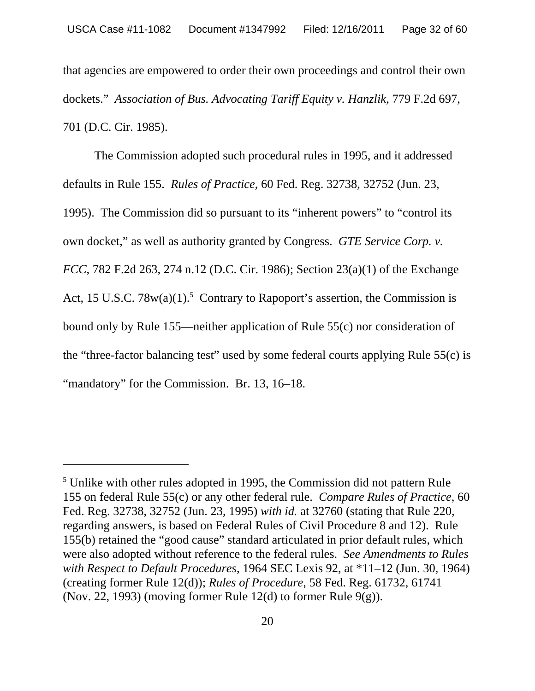that agencies are empowered to order their own proceedings and control their own dockets." *Association of Bus. Advocating Tariff Equity v. Hanzlik*, 779 F.2d 697, 701 (D.C. Cir. 1985).

The Commission adopted such procedural rules in 1995, and it addressed defaults in Rule 155. *Rules of Practice*, 60 Fed. Reg. 32738, 32752 (Jun. 23, 1995). The Commission did so pursuant to its "inherent powers" to "control its own docket," as well as authority granted by Congress. *GTE Service Corp. v. FCC*, 782 F.2d 263, 274 n.12 (D.C. Cir. 1986); Section 23(a)(1) of the Exchange Act, 15 U.S.C.  $78w(a)(1)$ .<sup>5</sup> Contrary to Rapoport's assertion, the Commission is bound only by Rule 155—neither application of Rule 55(c) nor consideration of the "three-factor balancing test" used by some federal courts applying Rule 55(c) is "mandatory" for the Commission. Br. 13, 16–18.

<sup>&</sup>lt;sup>5</sup> Unlike with other rules adopted in 1995, the Commission did not pattern Rule 155 on federal Rule 55(c) or any other federal rule. *Compare Rules of Practice*, 60 Fed. Reg. 32738, 32752 (Jun. 23, 1995) *with id.* at 32760 (stating that Rule 220, regarding answers, is based on Federal Rules of Civil Procedure 8 and 12). Rule 155(b) retained the "good cause" standard articulated in prior default rules, which were also adopted without reference to the federal rules. *See Amendments to Rules with Respect to Default Procedures*, 1964 SEC Lexis 92, at \*11–12 (Jun. 30, 1964) (creating former Rule 12(d)); *Rules of Procedure*, 58 Fed. Reg. 61732, 61741 (Nov. 22, 1993) (moving former Rule 12(d) to former Rule  $9(g)$ ).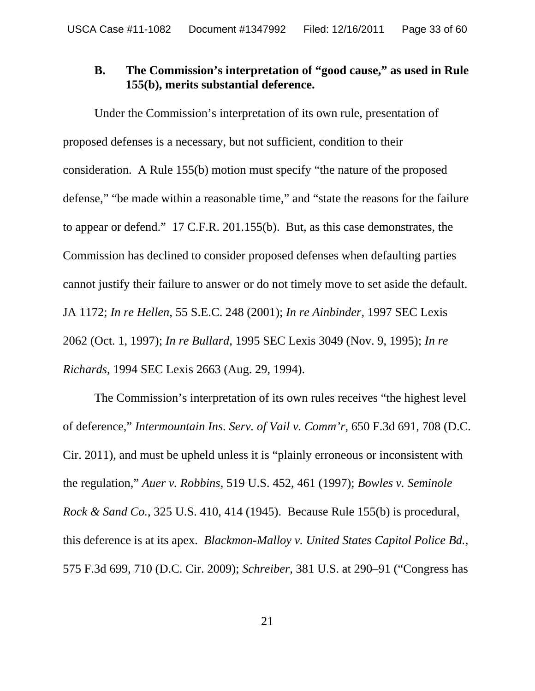#### **B. The Commission's interpretation of "good cause," as used in Rule 155(b), merits substantial deference.**

Under the Commission's interpretation of its own rule, presentation of proposed defenses is a necessary, but not sufficient, condition to their consideration. A Rule 155(b) motion must specify "the nature of the proposed defense," "be made within a reasonable time," and "state the reasons for the failure to appear or defend." 17 C.F.R. 201.155(b). But, as this case demonstrates, the Commission has declined to consider proposed defenses when defaulting parties cannot justify their failure to answer or do not timely move to set aside the default. JA 1172; *In re Hellen*, 55 S.E.C. 248 (2001); *In re Ainbinder*, 1997 SEC Lexis 2062 (Oct. 1, 1997); *In re Bullard*, 1995 SEC Lexis 3049 (Nov. 9, 1995); *In re Richards*, 1994 SEC Lexis 2663 (Aug. 29, 1994).

The Commission's interpretation of its own rules receives "the highest level of deference," *Intermountain Ins. Serv. of Vail v. Comm'r*, 650 F.3d 691, 708 (D.C. Cir. 2011), and must be upheld unless it is "plainly erroneous or inconsistent with the regulation," *Auer v. Robbins*, 519 U.S. 452, 461 (1997); *Bowles v. Seminole Rock & Sand Co.*, 325 U.S. 410, 414 (1945). Because Rule 155(b) is procedural, this deference is at its apex. *Blackmon-Malloy v. United States Capitol Police Bd.*, 575 F.3d 699, 710 (D.C. Cir. 2009); *Schreiber*, 381 U.S. at 290–91 ("Congress has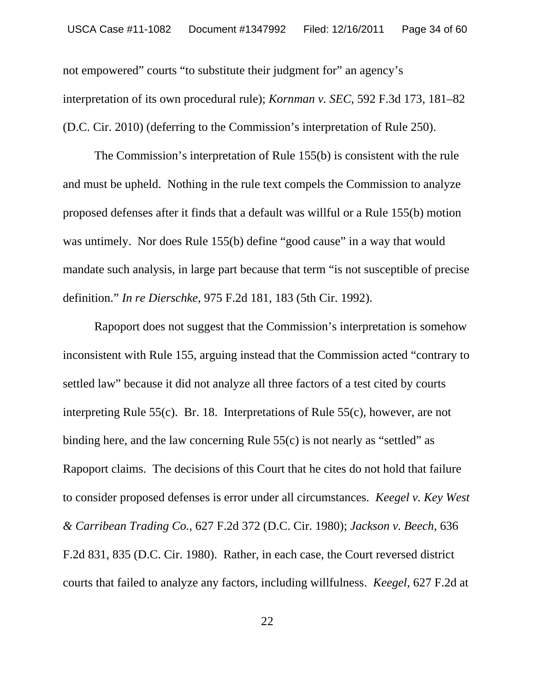not empowered" courts "to substitute their judgment for" an agency's interpretation of its own procedural rule); *Kornman v. SEC*, 592 F.3d 173, 181–82 (D.C. Cir. 2010) (deferring to the Commission's interpretation of Rule 250).

The Commission's interpretation of Rule 155(b) is consistent with the rule and must be upheld. Nothing in the rule text compels the Commission to analyze proposed defenses after it finds that a default was willful or a Rule 155(b) motion was untimely. Nor does Rule 155(b) define "good cause" in a way that would mandate such analysis, in large part because that term "is not susceptible of precise definition." *In re Dierschke*, 975 F.2d 181, 183 (5th Cir. 1992).

Rapoport does not suggest that the Commission's interpretation is somehow inconsistent with Rule 155, arguing instead that the Commission acted "contrary to settled law" because it did not analyze all three factors of a test cited by courts interpreting Rule 55(c). Br. 18. Interpretations of Rule 55(c), however, are not binding here, and the law concerning Rule  $55(c)$  is not nearly as "settled" as Rapoport claims. The decisions of this Court that he cites do not hold that failure to consider proposed defenses is error under all circumstances. *Keegel v. Key West & Carribean Trading Co.*, 627 F.2d 372 (D.C. Cir. 1980); *Jackson v. Beech*, 636 F.2d 831, 835 (D.C. Cir. 1980). Rather, in each case, the Court reversed district courts that failed to analyze any factors, including willfulness. *Keegel*, 627 F.2d at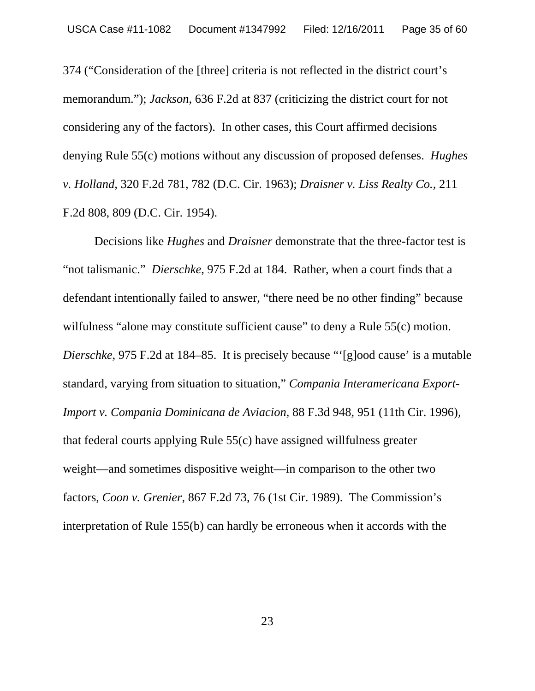374 ("Consideration of the [three] criteria is not reflected in the district court's memorandum."); *Jackson*, 636 F.2d at 837 (criticizing the district court for not considering any of the factors). In other cases, this Court affirmed decisions denying Rule 55(c) motions without any discussion of proposed defenses. *Hughes v. Holland*, 320 F.2d 781, 782 (D.C. Cir. 1963); *Draisner v. Liss Realty Co.*, 211 F.2d 808, 809 (D.C. Cir. 1954).

Decisions like *Hughes* and *Draisner* demonstrate that the three-factor test is "not talismanic." *Dierschke*, 975 F.2d at 184. Rather, when a court finds that a defendant intentionally failed to answer, "there need be no other finding" because wilfulness "alone may constitute sufficient cause" to deny a Rule 55(c) motion. *Dierschke*, 975 F.2d at 184–85. It is precisely because "'[g]ood cause' is a mutable standard, varying from situation to situation," *Compania Interamericana Export-Import v. Compania Dominicana de Aviacion*, 88 F.3d 948, 951 (11th Cir. 1996)*,* that federal courts applying Rule 55(c) have assigned willfulness greater weight—and sometimes dispositive weight—in comparison to the other two factors, *Coon v. Grenier*, 867 F.2d 73, 76 (1st Cir. 1989). The Commission's interpretation of Rule 155(b) can hardly be erroneous when it accords with the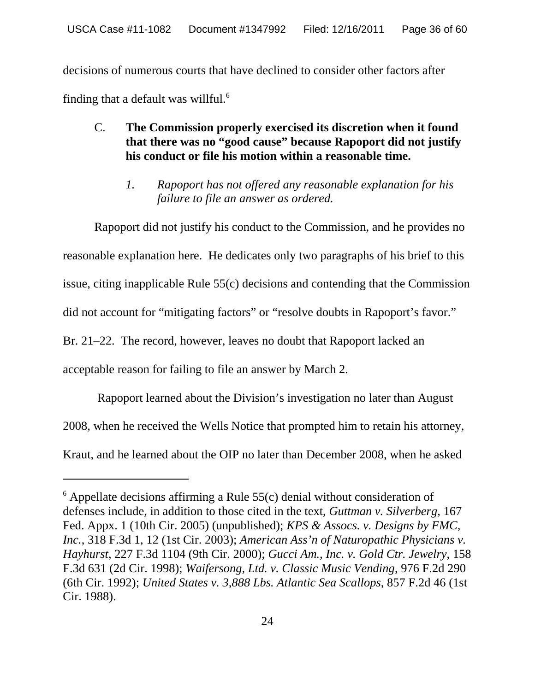decisions of numerous courts that have declined to consider other factors after finding that a default was willful.6

## C. **The Commission properly exercised its discretion when it found that there was no "good cause" because Rapoport did not justify his conduct or file his motion within a reasonable time.**

*1. Rapoport has not offered any reasonable explanation for his failure to file an answer as ordered.* 

Rapoport did not justify his conduct to the Commission, and he provides no reasonable explanation here. He dedicates only two paragraphs of his brief to this issue, citing inapplicable Rule 55(c) decisions and contending that the Commission did not account for "mitigating factors" or "resolve doubts in Rapoport's favor." Br. 21–22. The record, however, leaves no doubt that Rapoport lacked an acceptable reason for failing to file an answer by March 2.

 Rapoport learned about the Division's investigation no later than August 2008, when he received the Wells Notice that prompted him to retain his attorney, Kraut, and he learned about the OIP no later than December 2008, when he asked

 $6$  Appellate decisions affirming a Rule 55(c) denial without consideration of defenses include, in addition to those cited in the text, *Guttman v. Silverberg*, 167 Fed. Appx. 1 (10th Cir. 2005) (unpublished); *KPS & Assocs. v. Designs by FMC*, *Inc.*, 318 F.3d 1, 12 (1st Cir. 2003); *American Ass'n of Naturopathic Physicians v. Hayhurst*, 227 F.3d 1104 (9th Cir. 2000); *Gucci Am., Inc. v. Gold Ctr. Jewelry*, 158 F.3d 631 (2d Cir. 1998); *Waifersong, Ltd. v. Classic Music Vending*, 976 F.2d 290 (6th Cir. 1992); *United States v. 3,888 Lbs. Atlantic Sea Scallops*, 857 F.2d 46 (1st Cir. 1988).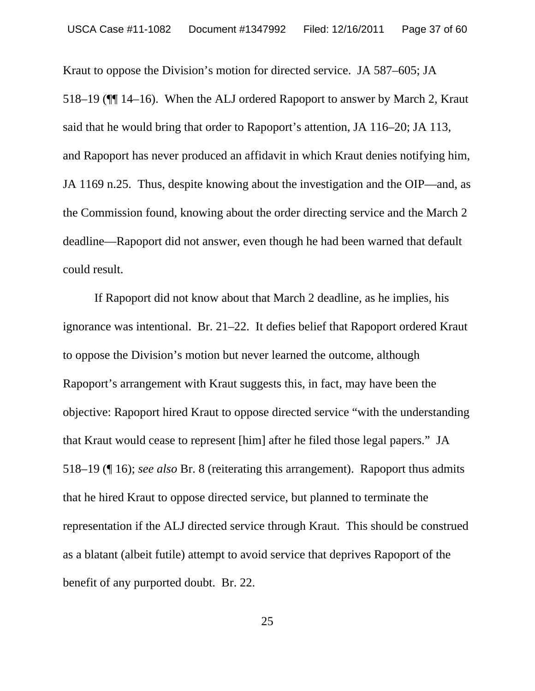Kraut to oppose the Division's motion for directed service. JA 587–605; JA 518–19 (¶¶ 14–16). When the ALJ ordered Rapoport to answer by March 2, Kraut said that he would bring that order to Rapoport's attention, JA 116–20; JA 113, and Rapoport has never produced an affidavit in which Kraut denies notifying him, JA 1169 n.25. Thus, despite knowing about the investigation and the OIP—and, as the Commission found, knowing about the order directing service and the March 2 deadline—Rapoport did not answer, even though he had been warned that default could result.

If Rapoport did not know about that March 2 deadline, as he implies, his ignorance was intentional. Br. 21–22. It defies belief that Rapoport ordered Kraut to oppose the Division's motion but never learned the outcome, although Rapoport's arrangement with Kraut suggests this, in fact, may have been the objective: Rapoport hired Kraut to oppose directed service "with the understanding that Kraut would cease to represent [him] after he filed those legal papers." JA 518–19 (¶ 16); *see also* Br. 8 (reiterating this arrangement). Rapoport thus admits that he hired Kraut to oppose directed service, but planned to terminate the representation if the ALJ directed service through Kraut. This should be construed as a blatant (albeit futile) attempt to avoid service that deprives Rapoport of the benefit of any purported doubt. Br. 22.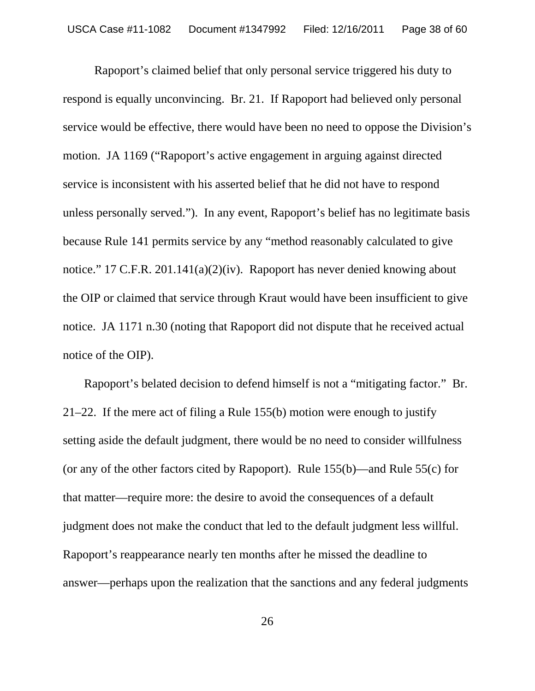Rapoport's claimed belief that only personal service triggered his duty to respond is equally unconvincing. Br. 21. If Rapoport had believed only personal service would be effective, there would have been no need to oppose the Division's motion. JA 1169 ("Rapoport's active engagement in arguing against directed service is inconsistent with his asserted belief that he did not have to respond unless personally served."). In any event, Rapoport's belief has no legitimate basis because Rule 141 permits service by any "method reasonably calculated to give notice." 17 C.F.R. 201.141(a)(2)(iv). Rapoport has never denied knowing about the OIP or claimed that service through Kraut would have been insufficient to give notice. JA 1171 n.30 (noting that Rapoport did not dispute that he received actual notice of the OIP).

 Rapoport's belated decision to defend himself is not a "mitigating factor." Br. 21–22. If the mere act of filing a Rule 155(b) motion were enough to justify setting aside the default judgment, there would be no need to consider willfulness (or any of the other factors cited by Rapoport). Rule 155(b)—and Rule 55(c) for that matter—require more: the desire to avoid the consequences of a default judgment does not make the conduct that led to the default judgment less willful. Rapoport's reappearance nearly ten months after he missed the deadline to answer—perhaps upon the realization that the sanctions and any federal judgments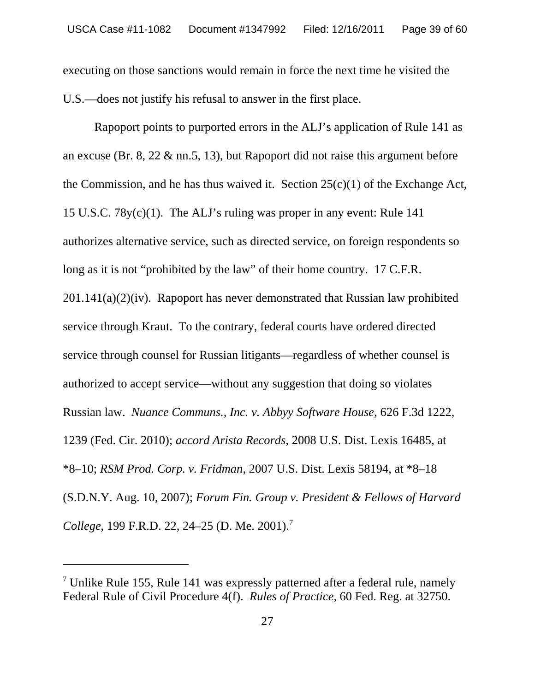executing on those sanctions would remain in force the next time he visited the U.S.—does not justify his refusal to answer in the first place.

Rapoport points to purported errors in the ALJ's application of Rule 141 as an excuse (Br. 8, 22 & nn.5, 13), but Rapoport did not raise this argument before the Commission, and he has thus waived it. Section 25(c)(1) of the Exchange Act, 15 U.S.C. 78y(c)(1). The ALJ's ruling was proper in any event: Rule 141 authorizes alternative service, such as directed service, on foreign respondents so long as it is not "prohibited by the law" of their home country. 17 C.F.R.  $201.141(a)(2)(iv)$ . Rapoport has never demonstrated that Russian law prohibited service through Kraut. To the contrary, federal courts have ordered directed service through counsel for Russian litigants—regardless of whether counsel is authorized to accept service—without any suggestion that doing so violates Russian law. *Nuance Communs., Inc. v. Abbyy Software House*, 626 F.3d 1222, 1239 (Fed. Cir. 2010); *accord Arista Records*, 2008 U.S. Dist. Lexis 16485, at \*8–10; *RSM Prod. Corp. v. Fridman*, 2007 U.S. Dist. Lexis 58194, at \*8–18 (S.D.N.Y. Aug. 10, 2007); *Forum Fin. Group v. President & Fellows of Harvard College*, 199 F.R.D. 22, 24–25 (D. Me. 2001).7

<sup>&</sup>lt;sup>7</sup> Unlike Rule 155, Rule 141 was expressly patterned after a federal rule, namely Federal Rule of Civil Procedure 4(f). *Rules of Practice*, 60 Fed. Reg. at 32750.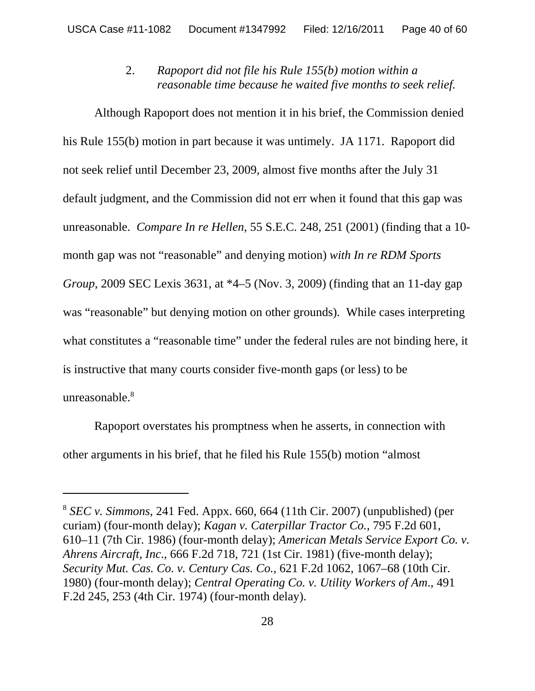#### 2. *Rapoport did not file his Rule 155(b) motion within a reasonable time because he waited five months to seek relief.*

Although Rapoport does not mention it in his brief, the Commission denied his Rule 155(b) motion in part because it was untimely. JA 1171. Rapoport did not seek relief until December 23, 2009, almost five months after the July 31 default judgment, and the Commission did not err when it found that this gap was unreasonable. *Compare In re Hellen*, 55 S.E.C. 248, 251 (2001) (finding that a 10 month gap was not "reasonable" and denying motion) *with In re RDM Sports Group*, 2009 SEC Lexis 3631, at \*4–5 (Nov. 3, 2009) (finding that an 11-day gap was "reasonable" but denying motion on other grounds)*.* While cases interpreting what constitutes a "reasonable time" under the federal rules are not binding here, it is instructive that many courts consider five-month gaps (or less) to be unreasonable.<sup>8</sup>

Rapoport overstates his promptness when he asserts, in connection with other arguments in his brief, that he filed his Rule 155(b) motion "almost

<sup>8</sup>  *SEC v. Simmons*, 241 Fed. Appx. 660, 664 (11th Cir. 2007) (unpublished) (per curiam) (four-month delay); *Kagan v. Caterpillar Tractor Co.*, 795 F.2d 601, 610–11 (7th Cir. 1986) (four-month delay); *American Metals Service Export Co. v. Ahrens Aircraft, Inc*., 666 F.2d 718, 721 (1st Cir. 1981) (five-month delay); *Security Mut. Cas. Co. v. Century Cas. Co.*, 621 F.2d 1062, 1067–68 (10th Cir. 1980) (four-month delay); *Central Operating Co. v. Utility Workers of Am*., 491 F.2d 245, 253 (4th Cir. 1974) (four-month delay).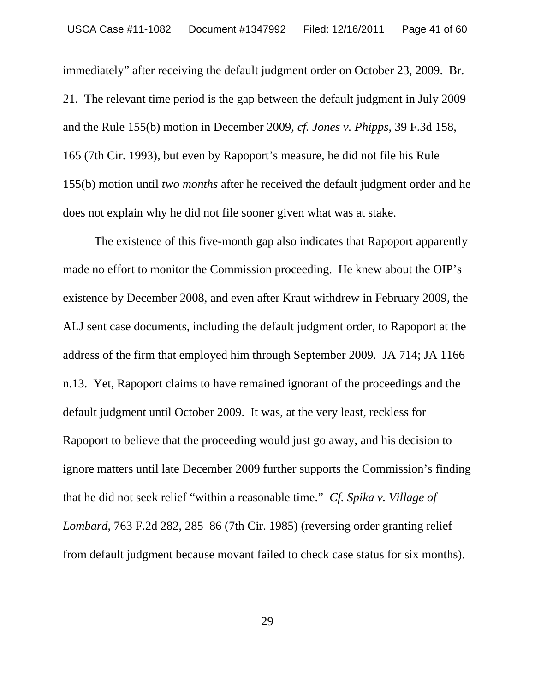immediately" after receiving the default judgment order on October 23, 2009. Br. 21. The relevant time period is the gap between the default judgment in July 2009 and the Rule 155(b) motion in December 2009, *cf. Jones v. Phipps*, 39 F.3d 158, 165 (7th Cir. 1993), but even by Rapoport's measure, he did not file his Rule 155(b) motion until *two months* after he received the default judgment order and he does not explain why he did not file sooner given what was at stake.

The existence of this five-month gap also indicates that Rapoport apparently made no effort to monitor the Commission proceeding. He knew about the OIP's existence by December 2008, and even after Kraut withdrew in February 2009, the ALJ sent case documents, including the default judgment order, to Rapoport at the address of the firm that employed him through September 2009. JA 714; JA 1166 n.13. Yet, Rapoport claims to have remained ignorant of the proceedings and the default judgment until October 2009. It was, at the very least, reckless for Rapoport to believe that the proceeding would just go away, and his decision to ignore matters until late December 2009 further supports the Commission's finding that he did not seek relief "within a reasonable time." *Cf. Spika v. Village of Lombard*, 763 F.2d 282, 285–86 (7th Cir. 1985) (reversing order granting relief from default judgment because movant failed to check case status for six months).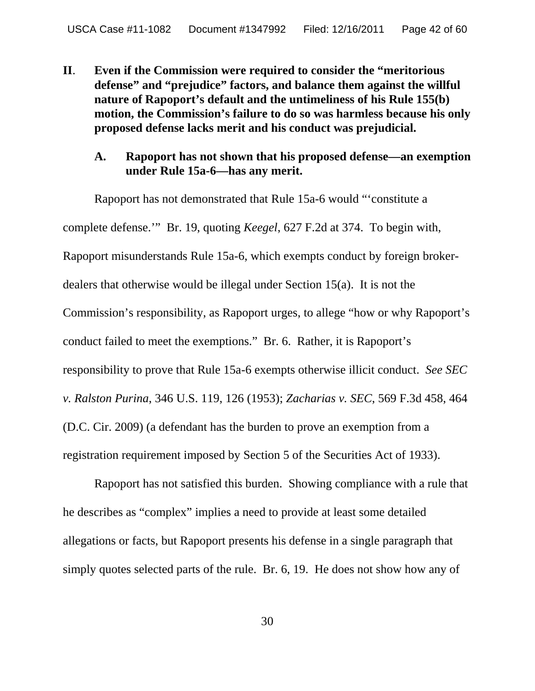**II**. **Even if the Commission were required to consider the "meritorious defense" and "prejudice" factors, and balance them against the willful nature of Rapoport's default and the untimeliness of his Rule 155(b) motion, the Commission's failure to do so was harmless because his only proposed defense lacks merit and his conduct was prejudicial.**

#### **A. Rapoport has not shown that his proposed defense—an exemption under Rule 15a-6—has any merit.**

Rapoport has not demonstrated that Rule 15a-6 would "'constitute a complete defense.'" Br. 19, quoting *Keegel*, 627 F.2d at 374. To begin with, Rapoport misunderstands Rule 15a-6, which exempts conduct by foreign brokerdealers that otherwise would be illegal under Section 15(a). It is not the Commission's responsibility, as Rapoport urges, to allege "how or why Rapoport's conduct failed to meet the exemptions." Br. 6. Rather, it is Rapoport's responsibility to prove that Rule 15a-6 exempts otherwise illicit conduct. *See SEC v. Ralston Purina*, 346 U.S. 119, 126 (1953); *Zacharias v. SEC*, 569 F.3d 458, 464 (D.C. Cir. 2009) (a defendant has the burden to prove an exemption from a registration requirement imposed by Section 5 of the Securities Act of 1933).

Rapoport has not satisfied this burden. Showing compliance with a rule that he describes as "complex" implies a need to provide at least some detailed allegations or facts, but Rapoport presents his defense in a single paragraph that simply quotes selected parts of the rule. Br. 6, 19. He does not show how any of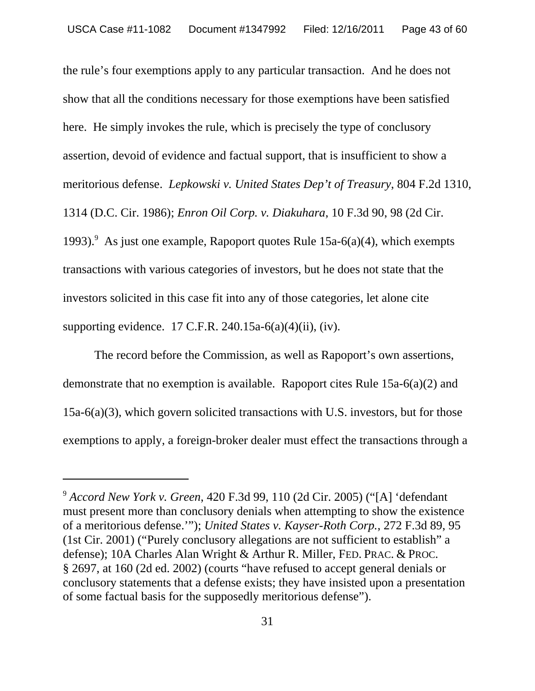the rule's four exemptions apply to any particular transaction. And he does not show that all the conditions necessary for those exemptions have been satisfied here. He simply invokes the rule, which is precisely the type of conclusory assertion, devoid of evidence and factual support, that is insufficient to show a meritorious defense. *Lepkowski v. United States Dep't of Treasury*, 804 F.2d 1310, 1314 (D.C. Cir. 1986); *Enron Oil Corp. v. Diakuhara*, 10 F.3d 90, 98 (2d Cir. 1993).<sup>9</sup> As just one example, Rapoport quotes Rule 15a-6(a)(4), which exempts transactions with various categories of investors, but he does not state that the investors solicited in this case fit into any of those categories, let alone cite supporting evidence. 17 C.F.R. 240.15a-6(a)(4)(ii), (iv).

The record before the Commission, as well as Rapoport's own assertions, demonstrate that no exemption is available. Rapoport cites Rule 15a-6(a)(2) and 15a-6(a)(3), which govern solicited transactions with U.S. investors, but for those exemptions to apply, a foreign-broker dealer must effect the transactions through a

<sup>9</sup> *Accord New York v. Green*, 420 F.3d 99, 110 (2d Cir. 2005) ("[A] 'defendant must present more than conclusory denials when attempting to show the existence of a meritorious defense.'"); *United States v. Kayser-Roth Corp.*, 272 F.3d 89, 95 (1st Cir. 2001) ("Purely conclusory allegations are not sufficient to establish" a defense); 10A Charles Alan Wright & Arthur R. Miller, FED. PRAC. & PROC. § 2697, at 160 (2d ed. 2002) (courts "have refused to accept general denials or conclusory statements that a defense exists; they have insisted upon a presentation of some factual basis for the supposedly meritorious defense").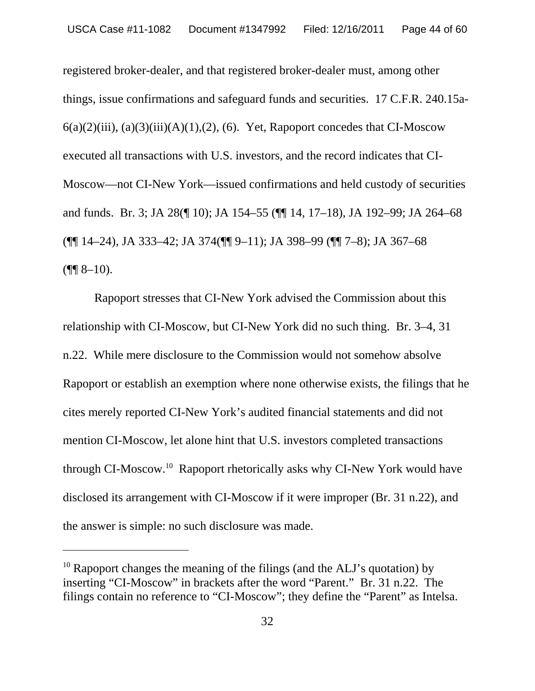registered broker-dealer, and that registered broker-dealer must, among other things, issue confirmations and safeguard funds and securities. 17 C.F.R. 240.15a- $6(a)(2)(iii)$ ,  $(a)(3)(iii)(A)(1),(2)$ ,  $(6)$ . Yet, Rapoport concedes that CI-Moscow executed all transactions with U.S. investors, and the record indicates that CI-Moscow—not CI-New York—issued confirmations and held custody of securities and funds. Br. 3; JA 28(¶ 10); JA 154–55 (¶¶ 14, 17–18), JA 192–99; JA 264–68 (¶¶ 14–24), JA 333–42; JA 374(¶¶ 9–11); JA 398–99 (¶¶ 7–8); JA 367–68  $($ ¶¶ 8–10).

Rapoport stresses that CI-New York advised the Commission about this relationship with CI-Moscow, but CI-New York did no such thing. Br. 3–4, 31 n.22. While mere disclosure to the Commission would not somehow absolve Rapoport or establish an exemption where none otherwise exists, the filings that he cites merely reported CI-New York's audited financial statements and did not mention CI-Moscow, let alone hint that U.S. investors completed transactions through CI-Moscow.10 Rapoport rhetorically asks why CI-New York would have disclosed its arrangement with CI-Moscow if it were improper (Br. 31 n.22), and the answer is simple: no such disclosure was made.

<sup>&</sup>lt;sup>10</sup> Rapoport changes the meaning of the filings (and the ALJ's quotation) by inserting "CI-Moscow" in brackets after the word "Parent." Br. 31 n.22. The filings contain no reference to "CI-Moscow"; they define the "Parent" as Intelsa.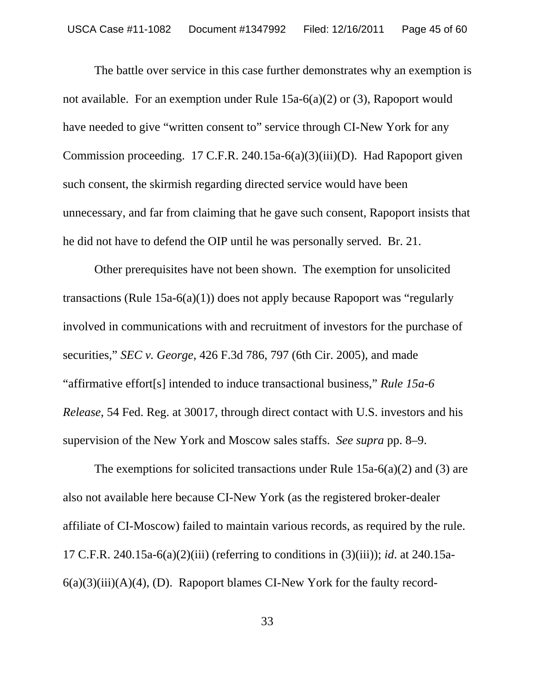The battle over service in this case further demonstrates why an exemption is not available. For an exemption under Rule 15a-6(a)(2) or (3), Rapoport would have needed to give "written consent to" service through CI-New York for any Commission proceeding. 17 C.F.R. 240.15a-6(a)(3)(iii)(D). Had Rapoport given such consent, the skirmish regarding directed service would have been unnecessary, and far from claiming that he gave such consent, Rapoport insists that he did not have to defend the OIP until he was personally served. Br. 21.

Other prerequisites have not been shown. The exemption for unsolicited transactions (Rule 15a-6(a)(1)) does not apply because Rapoport was "regularly involved in communications with and recruitment of investors for the purchase of securities," *SEC v. George*, 426 F.3d 786, 797 (6th Cir. 2005), and made "affirmative effort[s] intended to induce transactional business," *Rule 15a-6 Release*, 54 Fed. Reg. at 30017, through direct contact with U.S. investors and his supervision of the New York and Moscow sales staffs. *See supra* pp. 8–9.

The exemptions for solicited transactions under Rule 15a-6(a)(2) and (3) are also not available here because CI-New York (as the registered broker-dealer affiliate of CI-Moscow) failed to maintain various records, as required by the rule. 17 C.F.R. 240.15a-6(a)(2)(iii) (referring to conditions in (3)(iii)); *id*. at 240.15a- $6(a)(3)(iii)(A)(4)$ , (D). Rapoport blames CI-New York for the faulty record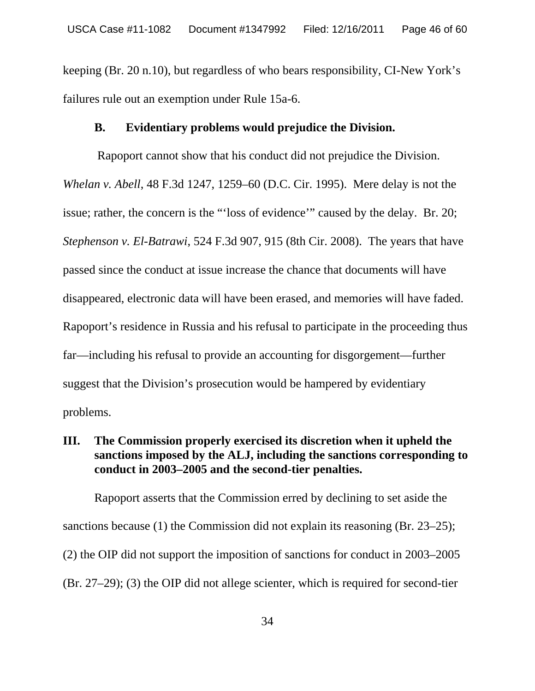keeping (Br. 20 n.10), but regardless of who bears responsibility, CI-New York's failures rule out an exemption under Rule 15a-6.

#### **B. Evidentiary problems would prejudice the Division.**

 Rapoport cannot show that his conduct did not prejudice the Division. *Whelan v. Abell*, 48 F.3d 1247, 1259–60 (D.C. Cir. 1995). Mere delay is not the issue; rather, the concern is the "'loss of evidence'" caused by the delay. Br. 20; *Stephenson v. El-Batrawi*, 524 F.3d 907, 915 (8th Cir. 2008). The years that have passed since the conduct at issue increase the chance that documents will have disappeared, electronic data will have been erased, and memories will have faded. Rapoport's residence in Russia and his refusal to participate in the proceeding thus far—including his refusal to provide an accounting for disgorgement—further suggest that the Division's prosecution would be hampered by evidentiary problems.

#### **III. The Commission properly exercised its discretion when it upheld the sanctions imposed by the ALJ, including the sanctions corresponding to conduct in 2003–2005 and the second-tier penalties.**

Rapoport asserts that the Commission erred by declining to set aside the sanctions because (1) the Commission did not explain its reasoning (Br. 23–25); (2) the OIP did not support the imposition of sanctions for conduct in 2003–2005 (Br. 27–29); (3) the OIP did not allege scienter, which is required for second-tier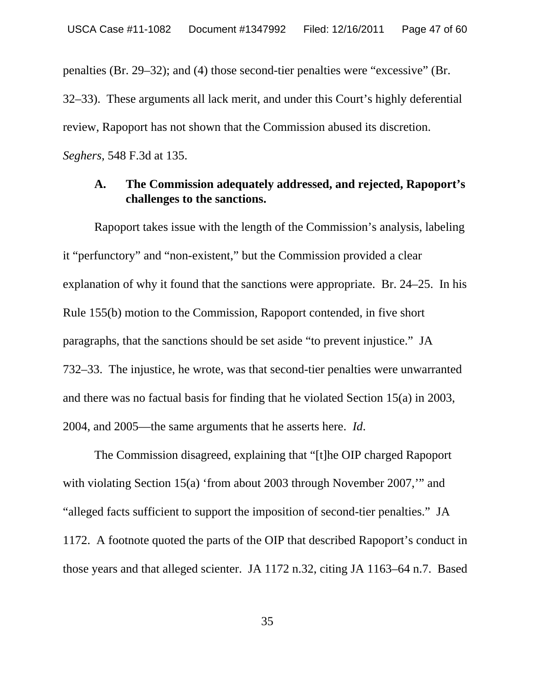penalties (Br. 29–32); and (4) those second-tier penalties were "excessive" (Br.

32–33). These arguments all lack merit, and under this Court's highly deferential review, Rapoport has not shown that the Commission abused its discretion. *Seghers,* 548 F.3d at 135.

#### **A. The Commission adequately addressed, and rejected, Rapoport's challenges to the sanctions.**

Rapoport takes issue with the length of the Commission's analysis, labeling it "perfunctory" and "non-existent," but the Commission provided a clear explanation of why it found that the sanctions were appropriate. Br. 24–25. In his Rule 155(b) motion to the Commission, Rapoport contended, in five short paragraphs, that the sanctions should be set aside "to prevent injustice." JA 732–33. The injustice, he wrote, was that second-tier penalties were unwarranted and there was no factual basis for finding that he violated Section 15(a) in 2003, 2004, and 2005—the same arguments that he asserts here. *Id*.

The Commission disagreed, explaining that "[t]he OIP charged Rapoport with violating Section 15(a) 'from about 2003 through November 2007,'' and "alleged facts sufficient to support the imposition of second-tier penalties." JA 1172. A footnote quoted the parts of the OIP that described Rapoport's conduct in those years and that alleged scienter. JA 1172 n.32, citing JA 1163–64 n.7. Based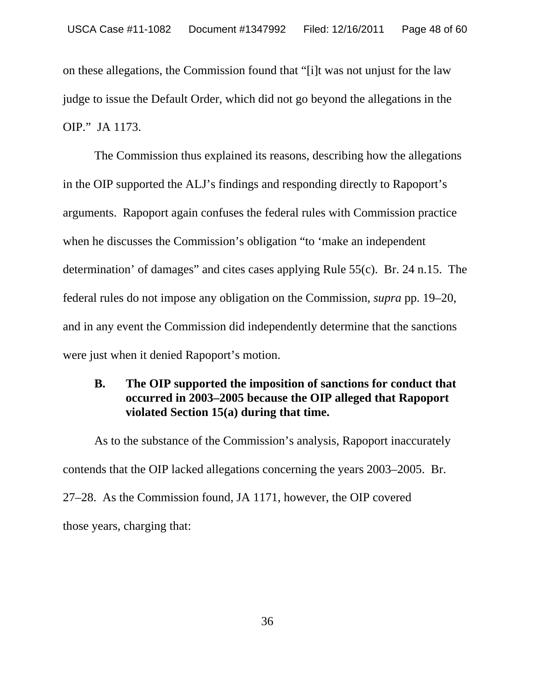on these allegations, the Commission found that "[i]t was not unjust for the law judge to issue the Default Order, which did not go beyond the allegations in the OIP." JA 1173.

The Commission thus explained its reasons, describing how the allegations in the OIP supported the ALJ's findings and responding directly to Rapoport's arguments. Rapoport again confuses the federal rules with Commission practice when he discusses the Commission's obligation "to 'make an independent determination' of damages" and cites cases applying Rule 55(c). Br. 24 n.15. The federal rules do not impose any obligation on the Commission, *supra* pp. 19–20, and in any event the Commission did independently determine that the sanctions were just when it denied Rapoport's motion.

## **B. The OIP supported the imposition of sanctions for conduct that occurred in 2003–2005 because the OIP alleged that Rapoport violated Section 15(a) during that time.**

As to the substance of the Commission's analysis, Rapoport inaccurately contends that the OIP lacked allegations concerning the years 2003–2005. Br. 27–28. As the Commission found, JA 1171, however, the OIP covered those years, charging that: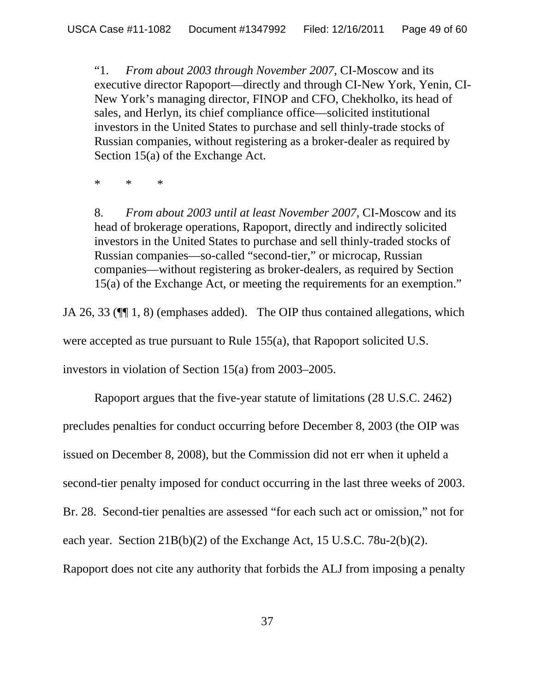"1. *From about 2003 through November 2007*, CI-Moscow and its executive director Rapoport—directly and through CI-New York, Yenin, CI-New York's managing director, FINOP and CFO, Chekholko, its head of sales, and Herlyn, its chief compliance office—solicited institutional investors in the United States to purchase and sell thinly-trade stocks of Russian companies, without registering as a broker-dealer as required by Section 15(a) of the Exchange Act.

\* \* \*

8. *From about 2003 until at least November 2007*, CI-Moscow and its head of brokerage operations, Rapoport, directly and indirectly solicited investors in the United States to purchase and sell thinly-traded stocks of Russian companies—so-called "second-tier," or microcap, Russian companies—without registering as broker-dealers, as required by Section 15(a) of the Exchange Act, or meeting the requirements for an exemption."

JA 26, 33 (¶¶ 1, 8) (emphases added). The OIP thus contained allegations, which were accepted as true pursuant to Rule 155(a), that Rapoport solicited U.S. investors in violation of Section 15(a) from 2003–2005.

Rapoport argues that the five-year statute of limitations (28 U.S.C. 2462) precludes penalties for conduct occurring before December 8, 2003 (the OIP was issued on December 8, 2008), but the Commission did not err when it upheld a second-tier penalty imposed for conduct occurring in the last three weeks of 2003. Br. 28. Second-tier penalties are assessed "for each such act or omission," not for each year. Section 21B(b)(2) of the Exchange Act, 15 U.S.C. 78u-2(b)(2). Rapoport does not cite any authority that forbids the ALJ from imposing a penalty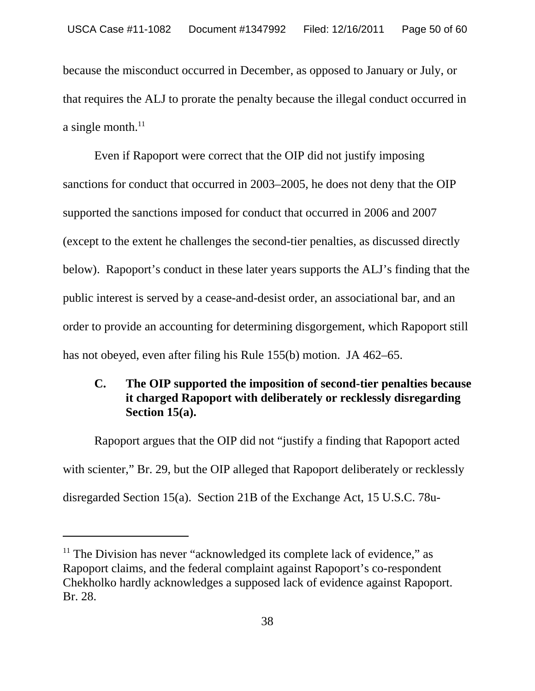because the misconduct occurred in December, as opposed to January or July, or that requires the ALJ to prorate the penalty because the illegal conduct occurred in a single month. $^{11}$ 

Even if Rapoport were correct that the OIP did not justify imposing sanctions for conduct that occurred in 2003–2005, he does not deny that the OIP supported the sanctions imposed for conduct that occurred in 2006 and 2007 (except to the extent he challenges the second-tier penalties, as discussed directly below). Rapoport's conduct in these later years supports the ALJ's finding that the public interest is served by a cease-and-desist order, an associational bar, and an order to provide an accounting for determining disgorgement, which Rapoport still has not obeyed, even after filing his Rule 155(b) motion. JA 462–65.

## **C. The OIP supported the imposition of second-tier penalties because it charged Rapoport with deliberately or recklessly disregarding Section 15(a).**

Rapoport argues that the OIP did not "justify a finding that Rapoport acted with scienter," Br. 29, but the OIP alleged that Rapoport deliberately or recklessly disregarded Section 15(a). Section 21B of the Exchange Act, 15 U.S.C. 78u-

 $11$  The Division has never "acknowledged its complete lack of evidence," as Rapoport claims, and the federal complaint against Rapoport's co-respondent Chekholko hardly acknowledges a supposed lack of evidence against Rapoport. Br. 28.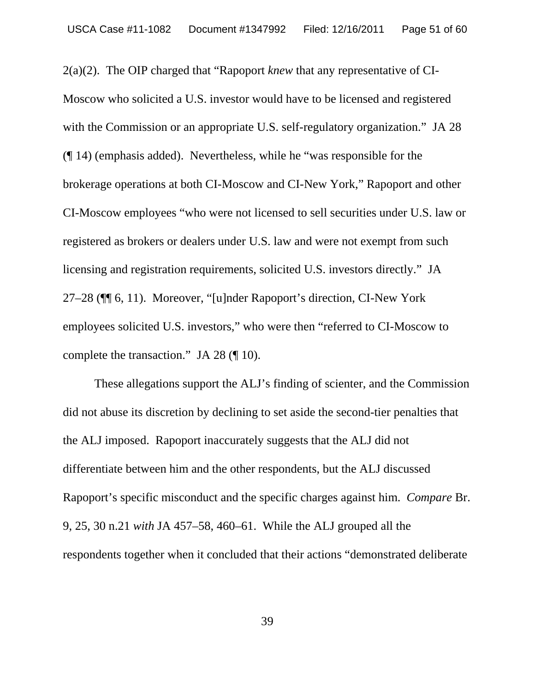2(a)(2). The OIP charged that "Rapoport *knew* that any representative of CI-Moscow who solicited a U.S. investor would have to be licensed and registered with the Commission or an appropriate U.S. self-regulatory organization." JA 28 (¶ 14) (emphasis added). Nevertheless, while he "was responsible for the brokerage operations at both CI-Moscow and CI-New York," Rapoport and other CI-Moscow employees "who were not licensed to sell securities under U.S. law or registered as brokers or dealers under U.S. law and were not exempt from such licensing and registration requirements, solicited U.S. investors directly." JA 27–28 (¶¶ 6, 11). Moreover, "[u]nder Rapoport's direction, CI-New York employees solicited U.S. investors," who were then "referred to CI-Moscow to complete the transaction." JA 28 (¶ 10).

These allegations support the ALJ's finding of scienter, and the Commission did not abuse its discretion by declining to set aside the second-tier penalties that the ALJ imposed. Rapoport inaccurately suggests that the ALJ did not differentiate between him and the other respondents, but the ALJ discussed Rapoport's specific misconduct and the specific charges against him. *Compare* Br. 9, 25, 30 n.21 *with* JA 457–58, 460–61. While the ALJ grouped all the respondents together when it concluded that their actions "demonstrated deliberate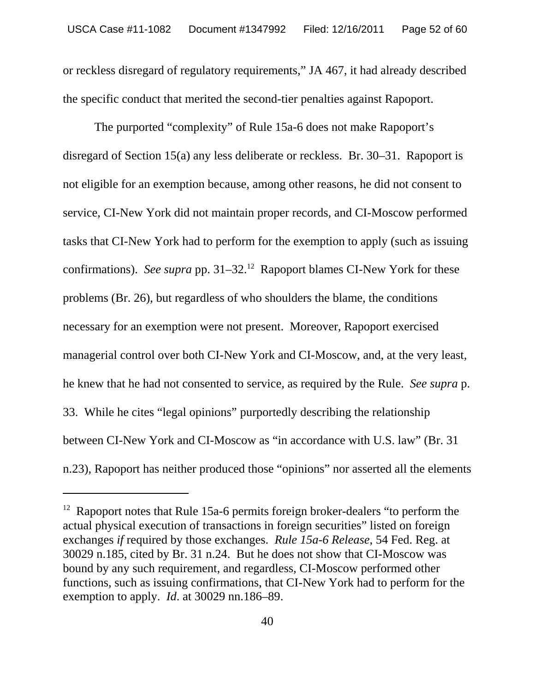or reckless disregard of regulatory requirements," JA 467, it had already described the specific conduct that merited the second-tier penalties against Rapoport.

The purported "complexity" of Rule 15a-6 does not make Rapoport's disregard of Section 15(a) any less deliberate or reckless. Br. 30–31. Rapoport is not eligible for an exemption because, among other reasons, he did not consent to service, CI-New York did not maintain proper records, and CI-Moscow performed tasks that CI-New York had to perform for the exemption to apply (such as issuing confirmations). *See supra* pp. 31–32.12 Rapoport blames CI-New York for these problems (Br. 26), but regardless of who shoulders the blame, the conditions necessary for an exemption were not present. Moreover, Rapoport exercised managerial control over both CI-New York and CI-Moscow, and, at the very least, he knew that he had not consented to service, as required by the Rule. *See supra* p. 33. While he cites "legal opinions" purportedly describing the relationship between CI-New York and CI-Moscow as "in accordance with U.S. law" (Br. 31 n.23), Rapoport has neither produced those "opinions" nor asserted all the elements

 $12$  Rapoport notes that Rule 15a-6 permits foreign broker-dealers "to perform the actual physical execution of transactions in foreign securities" listed on foreign exchanges *if* required by those exchanges. *Rule 15a-6 Release*, 54 Fed. Reg. at 30029 n.185, cited by Br. 31 n.24. But he does not show that CI-Moscow was bound by any such requirement, and regardless, CI-Moscow performed other functions, such as issuing confirmations, that CI-New York had to perform for the exemption to apply. *Id*. at 30029 nn.186–89.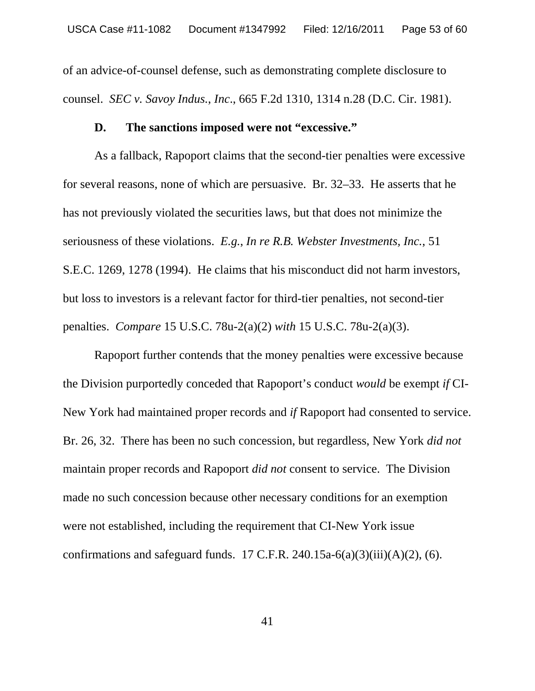of an advice-of-counsel defense, such as demonstrating complete disclosure to counsel. *SEC v. Savoy Indus.*, *Inc*., 665 F.2d 1310, 1314 n.28 (D.C. Cir. 1981).

#### **D. The sanctions imposed were not "excessive."**

As a fallback, Rapoport claims that the second-tier penalties were excessive for several reasons, none of which are persuasive. Br. 32–33. He asserts that he has not previously violated the securities laws, but that does not minimize the seriousness of these violations. *E.g.*, *In re R.B. Webster Investments, Inc.*, 51 S.E.C. 1269, 1278 (1994). He claims that his misconduct did not harm investors, but loss to investors is a relevant factor for third-tier penalties, not second-tier penalties. *Compare* 15 U.S.C. 78u-2(a)(2) *with* 15 U.S.C. 78u-2(a)(3).

Rapoport further contends that the money penalties were excessive because the Division purportedly conceded that Rapoport's conduct *would* be exempt *if* CI-New York had maintained proper records and *if* Rapoport had consented to service. Br. 26, 32. There has been no such concession, but regardless, New York *did not* maintain proper records and Rapoport *did not* consent to service. The Division made no such concession because other necessary conditions for an exemption were not established, including the requirement that CI-New York issue confirmations and safeguard funds. 17 C.F.R. 240.15a-6(a)(3)(iii)(A)(2), (6).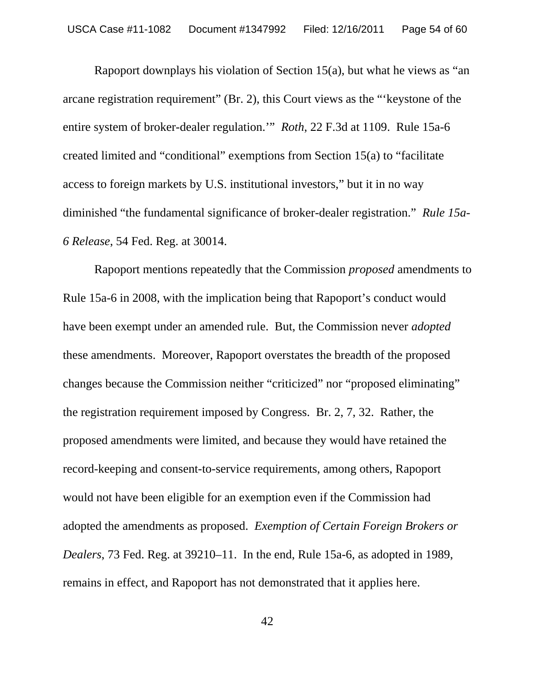Rapoport downplays his violation of Section 15(a), but what he views as "an arcane registration requirement" (Br. 2), this Court views as the "'keystone of the entire system of broker-dealer regulation.'" *Roth*, 22 F.3d at 1109. Rule 15a-6 created limited and "conditional" exemptions from Section 15(a) to "facilitate access to foreign markets by U.S. institutional investors," but it in no way diminished "the fundamental significance of broker-dealer registration." *Rule 15a-6 Release*, 54 Fed. Reg. at 30014.

Rapoport mentions repeatedly that the Commission *proposed* amendments to Rule 15a-6 in 2008, with the implication being that Rapoport's conduct would have been exempt under an amended rule. But, the Commission never *adopted* these amendments. Moreover, Rapoport overstates the breadth of the proposed changes because the Commission neither "criticized" nor "proposed eliminating" the registration requirement imposed by Congress. Br. 2, 7, 32. Rather, the proposed amendments were limited, and because they would have retained the record-keeping and consent-to-service requirements, among others, Rapoport would not have been eligible for an exemption even if the Commission had adopted the amendments as proposed. *Exemption of Certain Foreign Brokers or Dealers*, 73 Fed. Reg. at 39210–11. In the end, Rule 15a-6, as adopted in 1989, remains in effect, and Rapoport has not demonstrated that it applies here.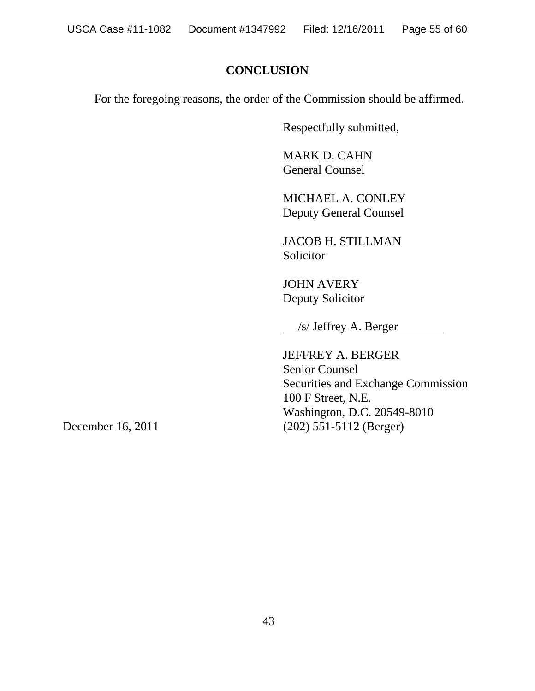## **CONCLUSION**

For the foregoing reasons, the order of the Commission should be affirmed.

Respectfully submitted,

MARK D. CAHN General Counsel

MICHAEL A. CONLEY Deputy General Counsel

JACOB H. STILLMAN Solicitor

JOHN AVERY Deputy Solicitor

/s/ Jeffrey A. Berger

JEFFREY A. BERGER Senior Counsel Securities and Exchange Commission 100 F Street, N.E. Washington, D.C. 20549-8010 December 16, 2011 (202) 551-5112 (Berger)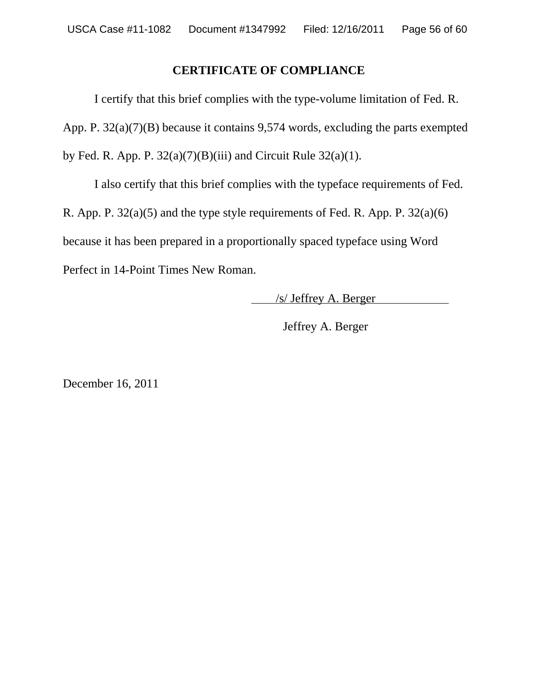#### **CERTIFICATE OF COMPLIANCE**

I certify that this brief complies with the type-volume limitation of Fed. R. App. P. 32(a)(7)(B) because it contains 9,574 words, excluding the parts exempted by Fed. R. App. P.  $32(a)(7)(B)(iii)$  and Circuit Rule  $32(a)(1)$ .

I also certify that this brief complies with the typeface requirements of Fed.

R. App. P.  $32(a)(5)$  and the type style requirements of Fed. R. App. P.  $32(a)(6)$ 

because it has been prepared in a proportionally spaced typeface using Word

Perfect in 14-Point Times New Roman.

/s/ Jeffrey A. Berger

Jeffrey A. Berger

December 16, 2011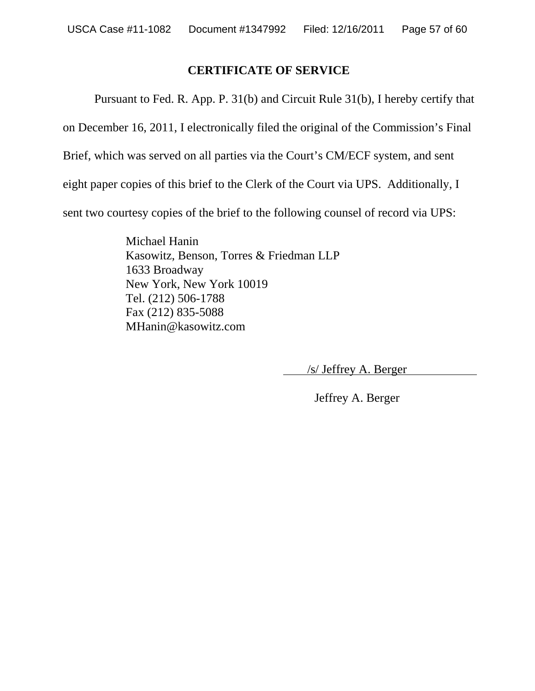#### **CERTIFICATE OF SERVICE**

Pursuant to Fed. R. App. P. 31(b) and Circuit Rule 31(b), I hereby certify that

on December 16, 2011, I electronically filed the original of the Commission's Final

Brief, which was served on all parties via the Court's CM/ECF system, and sent

eight paper copies of this brief to the Clerk of the Court via UPS. Additionally, I

sent two courtesy copies of the brief to the following counsel of record via UPS:

Michael Hanin Kasowitz, Benson, Torres & Friedman LLP 1633 Broadway New York, New York 10019 Tel. (212) 506-1788 Fax (212) 835-5088 MHanin@kasowitz.com

/s/ Jeffrey A. Berger

Jeffrey A. Berger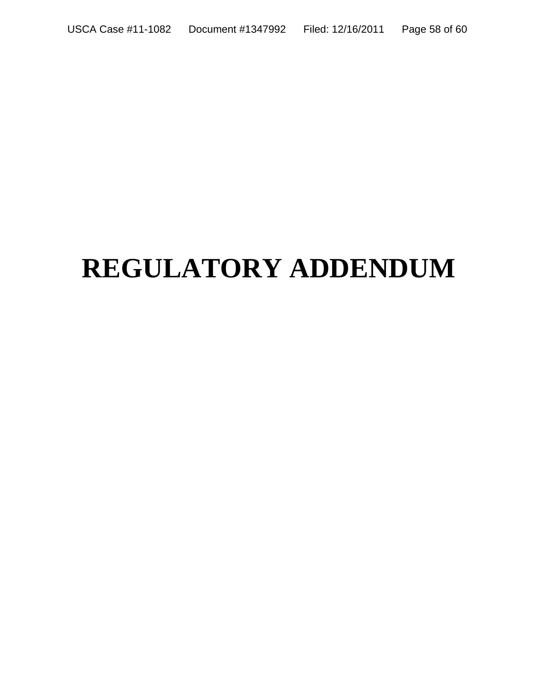# **REGULATORY ADDENDUM**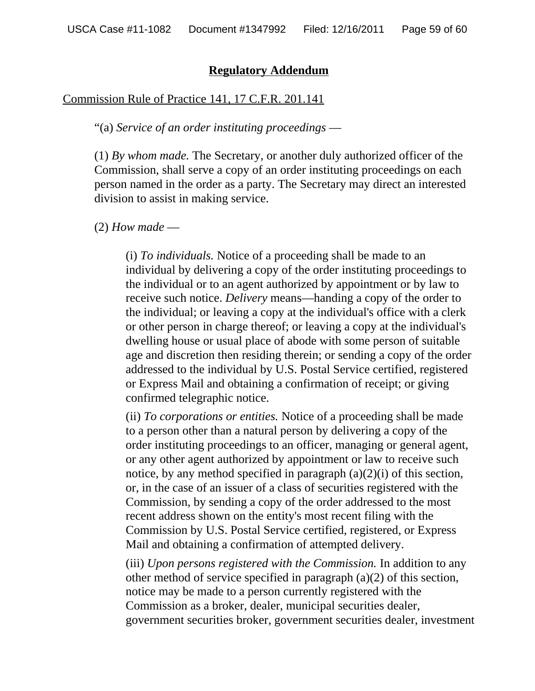#### **Regulatory Addendum**

#### Commission Rule of Practice 141, 17 C.F.R. 201.141

#### "(a) *Service of an order instituting proceedings* —

(1) *By whom made.* The Secretary, or another duly authorized officer of the Commission, shall serve a copy of an order instituting proceedings on each person named in the order as a party. The Secretary may direct an interested division to assist in making service.

#### (2) *How made* —

(i) *To individuals.* Notice of a proceeding shall be made to an individual by delivering a copy of the order instituting proceedings to the individual or to an agent authorized by appointment or by law to receive such notice. *Delivery* means—handing a copy of the order to the individual; or leaving a copy at the individual's office with a clerk or other person in charge thereof; or leaving a copy at the individual's dwelling house or usual place of abode with some person of suitable age and discretion then residing therein; or sending a copy of the order addressed to the individual by U.S. Postal Service certified, registered or Express Mail and obtaining a confirmation of receipt; or giving confirmed telegraphic notice.

(ii) *To corporations or entities.* Notice of a proceeding shall be made to a person other than a natural person by delivering a copy of the order instituting proceedings to an officer, managing or general agent, or any other agent authorized by appointment or law to receive such notice, by any method specified in paragraph  $(a)(2)(i)$  of this section, or, in the case of an issuer of a class of securities registered with the Commission, by sending a copy of the order addressed to the most recent address shown on the entity's most recent filing with the Commission by U.S. Postal Service certified, registered, or Express Mail and obtaining a confirmation of attempted delivery.

(iii) *Upon persons registered with the Commission.* In addition to any other method of service specified in paragraph (a)(2) of this section, notice may be made to a person currently registered with the Commission as a broker, dealer, municipal securities dealer, government securities broker, government securities dealer, investment